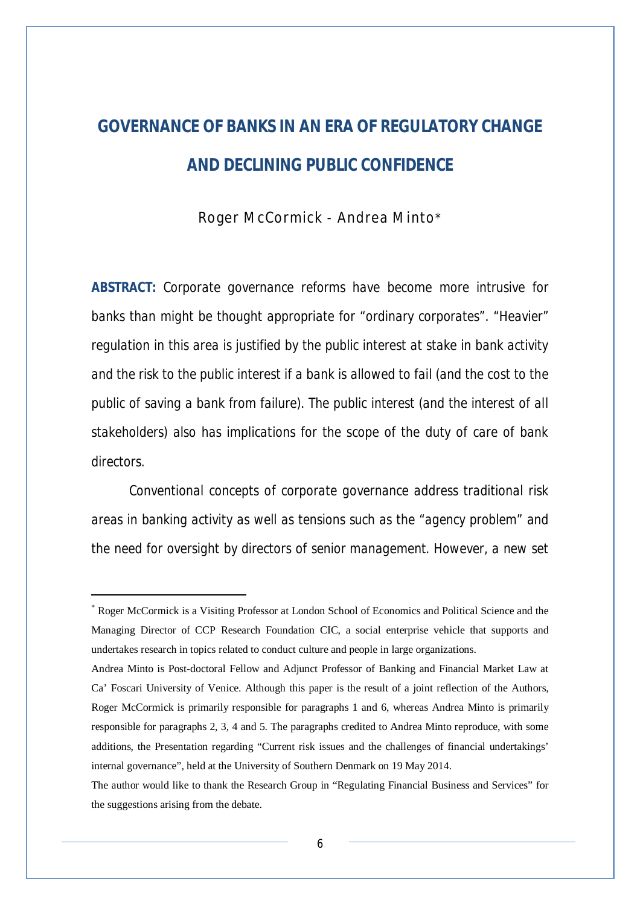## **GOVERNANCE OF BANKS IN AN ERA OF REGULATORY CHANGE AND DECLINING PUBLIC CONFIDENCE**

Roger McCormick - Andrea Minto\*

**ABSTRACT:** *Corporate governance reforms have become more intrusive for banks than might be thought appropriate for "ordinary corporates". "Heavier" regulation in this area is justified by the public interest at stake in bank activity and the risk to the public interest if a bank is allowed to fail (and the cost to the public of saving a bank from failure). The public interest (and the interest of all stakeholders) also has implications for the scope of the duty of care of bank directors.*

*Conventional concepts of corporate governance address traditional risk areas in banking activity as well as tensions such as the "agency problem" and the need for oversight by directors of senior management. However, a new set* 

<sup>\*</sup> Roger McCormick is a Visiting Professor at London School of Economics and Political Science and the Managing Director of CCP Research Foundation CIC, a social enterprise vehicle that supports and undertakes research in topics related to conduct culture and people in large organizations.

Andrea Minto is Post-doctoral Fellow and Adjunct Professor of Banking and Financial Market Law at Ca' Foscari University of Venice. Although this paper is the result of a joint reflection of the Authors, Roger McCormick is primarily responsible for paragraphs 1 and 6, whereas Andrea Minto is primarily responsible for paragraphs 2, 3, 4 and 5. The paragraphs credited to Andrea Minto reproduce, with some additions, the Presentation regarding "Current risk issues and the challenges of financial undertakings' internal governance", held at the University of Southern Denmark on 19 May 2014.

The author would like to thank the Research Group in "Regulating Financial Business and Services" for the suggestions arising from the debate.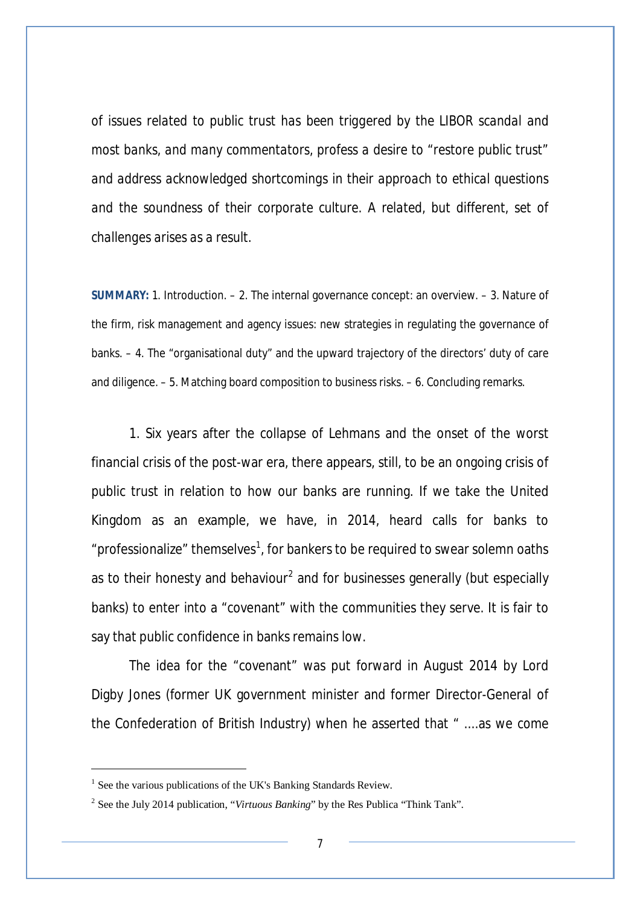*of issues related to public trust has been triggered by the LIBOR scandal and most banks, and many commentators, profess a desire to "restore public trust" and address acknowledged shortcomings in their approach to ethical questions*  and the soundness of their corporate culture. A related, but different, set of *challenges arises as a result.*

**SUMMARY:** 1. Introduction. – 2. The internal governance concept: an overview. – 3. Nature of the firm, risk management and agency issues: new strategies in regulating the governance of banks. – 4. The "organisational duty" and the upward trajectory of the directors' duty of care and diligence. – 5. Matching board composition to business risks. – 6. Concluding remarks.

1. Six years after the collapse of Lehmans and the onset of the worst financial crisis of the post-war era, there appears, still, to be an ongoing crisis of public trust in relation to how our banks are running. If we take the United Kingdom as an example, we have, in 2014, heard calls for banks to "professionalize" themselves<sup>1</sup>, for bankers to be required to swear solemn oaths as to their honesty and behaviour<sup>2</sup> and for businesses generally (but especially banks) to enter into a "covenant" with the communities they serve. It is fair to say that public confidence in banks remains low.

The idea for the "covenant" was put forward in August 2014 by Lord Digby Jones (former UK government minister and former Director-General of the Confederation of British Industry) when he asserted that " ....as we come

<sup>&</sup>lt;sup>1</sup> See the various publications of the UK's Banking Standards Review.

<sup>&</sup>lt;sup>2</sup> See the July 2014 publication, "*Virtuous Banking*" by the Res Publica "Think Tank".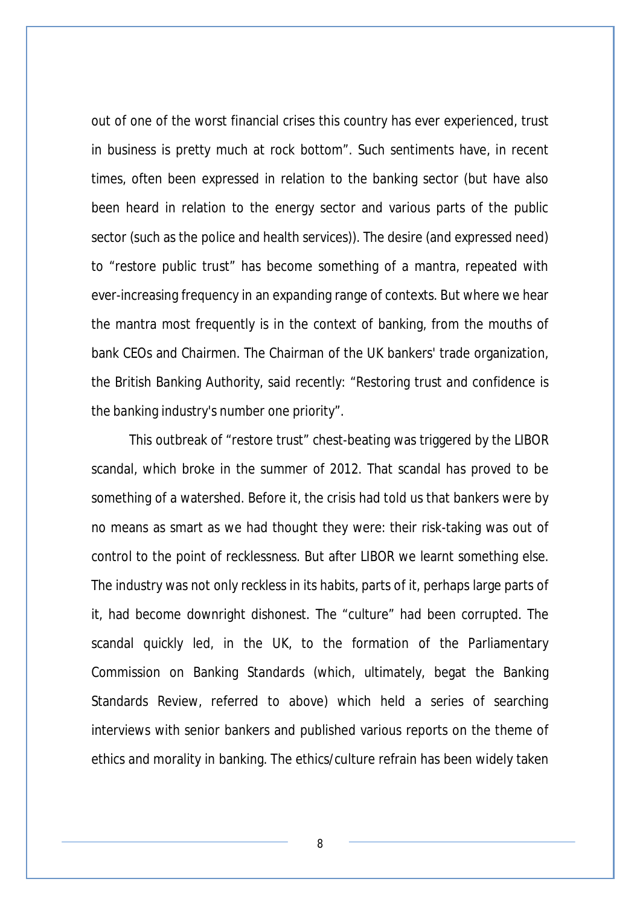out of one of the worst financial crises this country has ever experienced, trust in business is pretty much at rock bottom". Such sentiments have, in recent times, often been expressed in relation to the banking sector (but have also been heard in relation to the energy sector and various parts of the public sector (such as the police and health services)). The desire (and expressed need) to "restore public trust" has become something of a mantra, repeated with ever-increasing frequency in an expanding range of contexts. But where we hear the mantra most frequently is in the context of banking, from the mouths of bank CEOs and Chairmen. The Chairman of the UK bankers' trade organization, the British Banking Authority, said recently: "Restoring trust and confidence is the banking industry's number one priority".

This outbreak of "restore trust" chest-beating was triggered by the LIBOR scandal, which broke in the summer of 2012. That scandal has proved to be something of a watershed. Before it, the crisis had told us that bankers were by no means as smart as we had thought they were: their risk-taking was out of control to the point of recklessness. But after LIBOR we learnt something else. The industry was not only reckless in its habits, parts of it, perhaps large parts of it, had become downright dishonest. The "culture" had been corrupted. The scandal quickly led, in the UK, to the formation of the Parliamentary Commission on Banking Standards (which, ultimately, begat the Banking Standards Review, referred to above) which held a series of searching interviews with senior bankers and published various reports on the theme of ethics and morality in banking. The ethics/culture refrain has been widely taken

8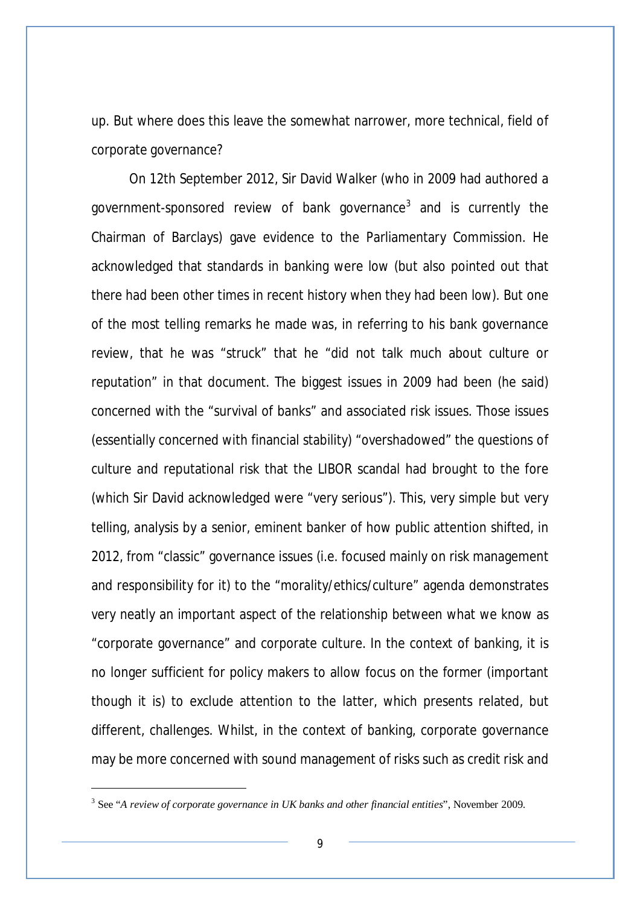up. But where does this leave the somewhat narrower, more technical, field of corporate governance?

On 12th September 2012, Sir David Walker (who in 2009 had authored a government-sponsored review of bank governance<sup>3</sup> and is currently the Chairman of Barclays) gave evidence to the Parliamentary Commission. He acknowledged that standards in banking were low (but also pointed out that there had been other times in recent history when they had been low). But one of the most telling remarks he made was, in referring to his bank governance review, that he was "struck" that he "did not talk much about culture or reputation" in that document. The biggest issues in 2009 had been (he said) concerned with the "survival of banks" and associated risk issues. Those issues (essentially concerned with financial stability) "overshadowed" the questions of culture and reputational risk that the LIBOR scandal had brought to the fore (which Sir David acknowledged were "very serious"). This, very simple but very telling, analysis by a senior, eminent banker of how public attention shifted, in 2012, from "classic" governance issues (i.e. focused mainly on risk management and responsibility for it) to the "morality/ethics/culture" agenda demonstrates very neatly an important aspect of the relationship between what we know as "corporate governance" and corporate culture. In the context of banking, it is no longer sufficient for policy makers to allow focus on the former (important though it is) to exclude attention to the latter, which presents related, but different, challenges. Whilst, in the context of banking, corporate governance may be more concerned with sound management of risks such as credit risk and

<sup>3</sup> See "*A review of corporate governance in UK banks and other financial entities*", November 2009.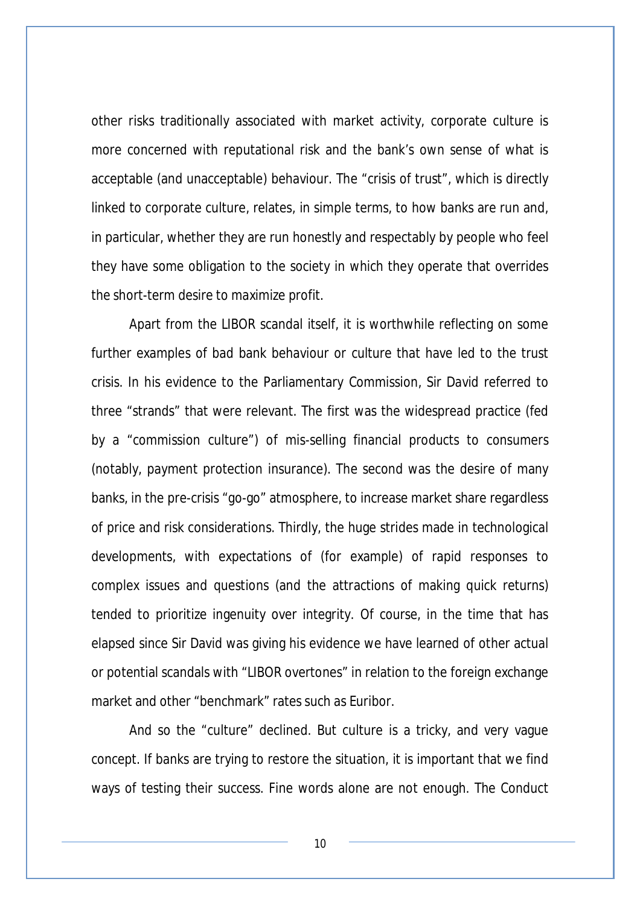other risks traditionally associated with market activity, corporate culture is more concerned with reputational risk and the bank's own sense of what is acceptable (and unacceptable) behaviour. The "crisis of trust", which is directly linked to corporate culture, relates, in simple terms, to how banks are run and, in particular, whether they are run honestly and respectably by people who feel they have some obligation to the society in which they operate that overrides the short-term desire to maximize profit.

Apart from the LIBOR scandal itself, it is worthwhile reflecting on some further examples of bad bank behaviour or culture that have led to the trust crisis. In his evidence to the Parliamentary Commission, Sir David referred to three "strands" that were relevant. The first was the widespread practice (fed by a "commission culture") of mis-selling financial products to consumers (notably, payment protection insurance). The second was the desire of many banks, in the pre-crisis "go-go" atmosphere, to increase market share regardless of price and risk considerations. Thirdly, the huge strides made in technological developments, with expectations of (for example) of rapid responses to complex issues and questions (and the attractions of making quick returns) tended to prioritize ingenuity over integrity. Of course, in the time that has elapsed since Sir David was giving his evidence we have learned of other actual or potential scandals with "LIBOR overtones" in relation to the foreign exchange market and other "benchmark" rates such as Euribor.

And so the "culture" declined. But culture is a tricky, and very vague concept. If banks are trying to restore the situation, it is important that we find ways of testing their success. Fine words alone are not enough. The Conduct

10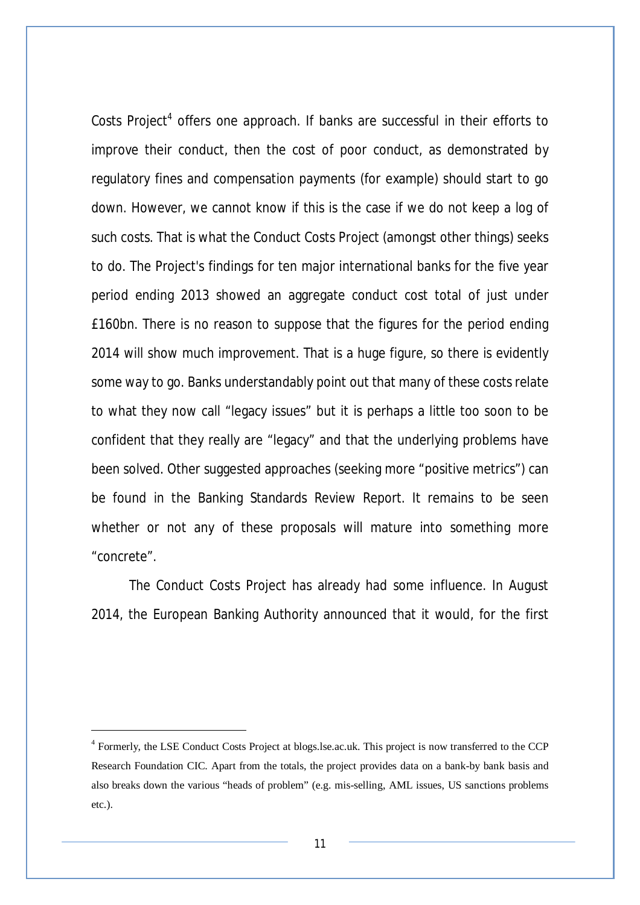Costs Project<sup>4</sup> offers one approach. If banks are successful in their efforts to improve their conduct, then the cost of poor conduct, as demonstrated by regulatory fines and compensation payments (for example) should start to go down. However, we cannot know if this is the case if we do not keep a log of such costs. That is what the Conduct Costs Project (amongst other things) seeks to do. The Project's findings for ten major international banks for the five year period ending 2013 showed an aggregate conduct cost total of just under £160bn. There is no reason to suppose that the figures for the period ending 2014 will show much improvement. That is a huge figure, so there is evidently some way to go. Banks understandably point out that many of these costs relate to what they now call "legacy issues" but it is perhaps a little too soon to be confident that they really are "legacy" and that the underlying problems have been solved. Other suggested approaches (seeking more "positive metrics") can be found in the Banking Standards Review Report. It remains to be seen whether or not any of these proposals will mature into something more "concrete".

The Conduct Costs Project has already had some influence. In August 2014, the European Banking Authority announced that it would, for the first

<sup>&</sup>lt;sup>4</sup> Formerly, the LSE Conduct Costs Project at blogs.lse.ac.uk. This project is now transferred to the CCP Research Foundation CIC. Apart from the totals, the project provides data on a bank-by bank basis and also breaks down the various "heads of problem" (e.g. mis-selling, AML issues, US sanctions problems etc.).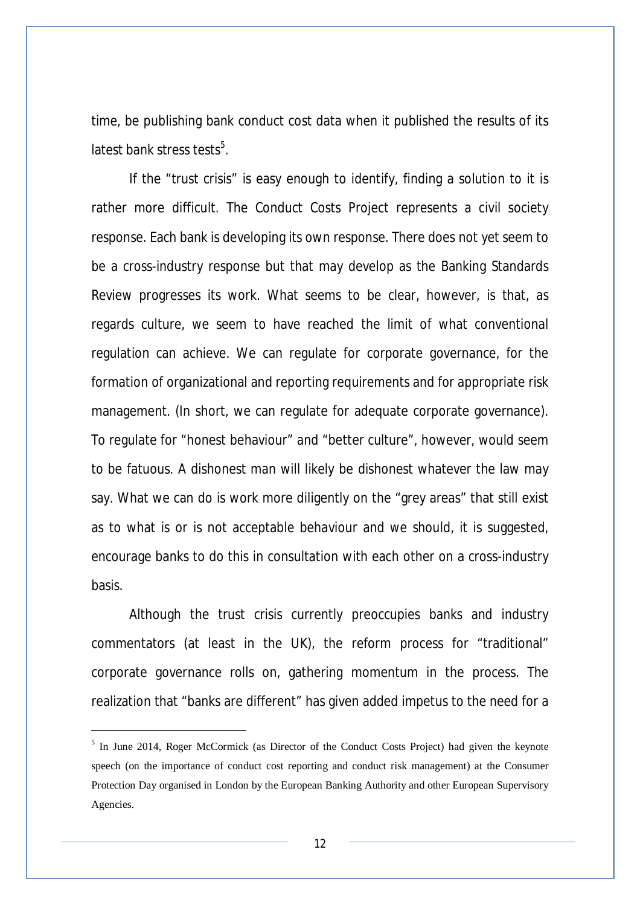time, be publishing bank conduct cost data when it published the results of its latest bank stress tests<sup>5</sup>.

If the "trust crisis" is easy enough to identify, finding a solution to it is rather more difficult. The Conduct Costs Project represents a civil society response. Each bank is developing its own response. There does not yet seem to be a cross-industry response but that may develop as the Banking Standards Review progresses its work. What seems to be clear, however, is that, as regards culture, we seem to have reached the limit of what conventional regulation can achieve. We can regulate for corporate governance, for the formation of organizational and reporting requirements and for appropriate risk management. (In short, we can regulate for adequate corporate governance). To regulate for "honest behaviour" and "better culture", however, would seem to be fatuous. A dishonest man will likely be dishonest whatever the law may say. What we can do is work more diligently on the "grey areas" that still exist as to what is or is not acceptable behaviour and we should, it is suggested, encourage banks to do this in consultation with each other on a cross-industry basis.

Although the trust crisis currently preoccupies banks and industry commentators (at least in the UK), the reform process for "traditional" corporate governance rolls on, gathering momentum in the process. The realization that "banks are different" has given added impetus to the need for a

<sup>&</sup>lt;sup>5</sup> In June 2014, Roger McCormick (as Director of the Conduct Costs Project) had given the keynote speech (on the importance of conduct cost reporting and conduct risk management) at the Consumer Protection Day organised in London by the European Banking Authority and other European Supervisory Agencies.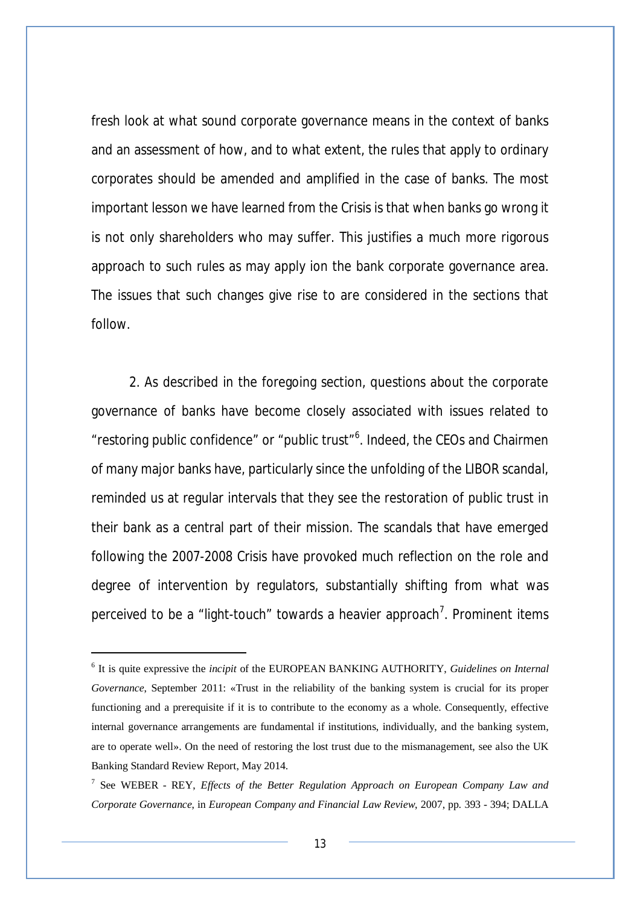fresh look at what sound corporate governance means in the context of banks and an assessment of how, and to what extent, the rules that apply to ordinary corporates should be amended and amplified in the case of banks. The most important lesson we have learned from the Crisis is that when banks go wrong it is not only shareholders who may suffer. This justifies a much more rigorous approach to such rules as may apply ion the bank corporate governance area. The issues that such changes give rise to are considered in the sections that follow.

2. As described in the foregoing section, questions about the corporate governance of banks have become closely associated with issues related to "restoring public confidence" or "public trust"<sup>6</sup> . Indeed, the CEOs and Chairmen of many major banks have, particularly since the unfolding of the LIBOR scandal, reminded us at regular intervals that they see the restoration of public trust in their bank as a central part of their mission. The scandals that have emerged following the 2007-2008 Crisis have provoked much reflection on the role and degree of intervention by regulators, substantially shifting from what was perceived to be a "light-touch" towards a heavier approach<sup>7</sup>. Prominent items

<sup>6</sup> It is quite expressive the *incipit* of the EUROPEAN BANKING AUTHORITY, *Guidelines on Internal Governance*, September 2011: «Trust in the reliability of the banking system is crucial for its proper functioning and a prerequisite if it is to contribute to the economy as a whole. Consequently, effective internal governance arrangements are fundamental if institutions, individually, and the banking system, are to operate well». On the need of restoring the lost trust due to the mismanagement, see also the UK Banking Standard Review Report, May 2014.

<sup>7</sup> See WEBER - REY, *Effects of the Better Regulation Approach on European Company Law and Corporate Governance*, in *European Company and Financial Law Review*, 2007, pp. 393 - 394; DALLA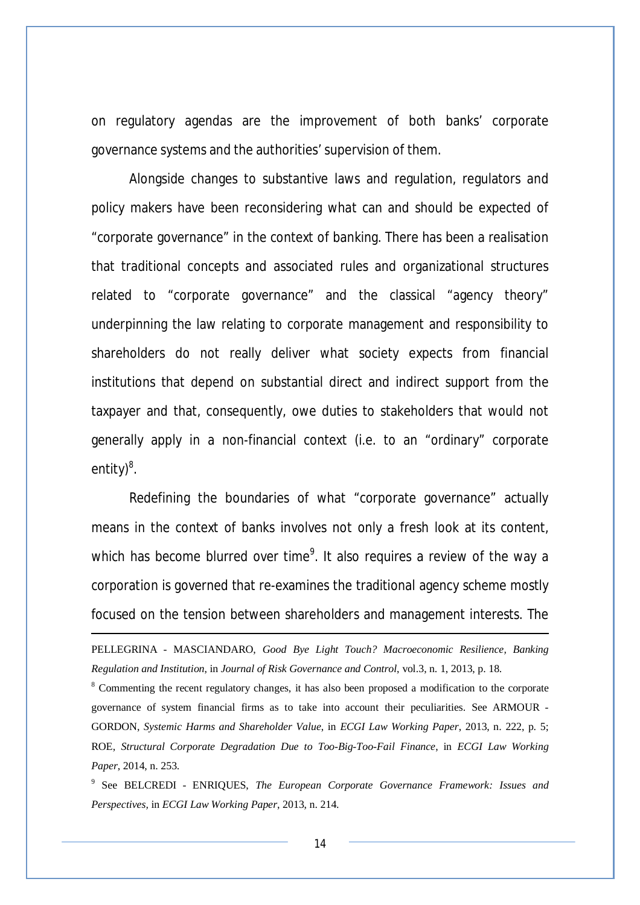on regulatory agendas are the improvement of both banks' corporate governance systems and the authorities' supervision of them.

Alongside changes to substantive laws and regulation, regulators and policy makers have been reconsidering what can and should be expected of "corporate governance" in the context of banking. There has been a realisation that traditional concepts and associated rules and organizational structures related to "corporate governance" and the classical "agency theory" underpinning the law relating to corporate management and responsibility to shareholders do not really deliver what society expects from financial institutions that depend on substantial direct and indirect support from the taxpayer and that, consequently, owe duties to stakeholders that would not generally apply in a non-financial context (i.e. to an "ordinary" corporate entity)<sup>8</sup>.

Redefining the boundaries of what "corporate governance" actually means in the context of banks involves not only a fresh look at its content, which has become blurred over time<sup>9</sup>. It also requires a review of the way a corporation is governed that re-examines the traditional agency scheme mostly focused on the tension between shareholders and management interests. The

 $\ddot{\phantom{a}}$ 

<sup>8</sup> Commenting the recent regulatory changes, it has also been proposed a modification to the corporate governance of system financial firms as to take into account their peculiarities. See ARMOUR - GORDON, *Systemic Harms and Shareholder Value*, in *ECGI Law Working Paper*, 2013, n. 222, p. 5; ROE, *Structural Corporate Degradation Due to Too-Big-Too-Fail Finance*, in *ECGI Law Working Paper*, 2014, n. 253.

9 See BELCREDI - ENRIQUES, *The European Corporate Governance Framework: Issues and Perspectives,* in *ECGI Law Working Paper*, 2013, n. 214.

PELLEGRINA - MASCIANDARO, *Good Bye Light Touch? Macroeconomic Resilience, Banking Regulation and Institution*, in *Journal of Risk Governance and Control*, vol.3, n. 1, 2013, p. 18.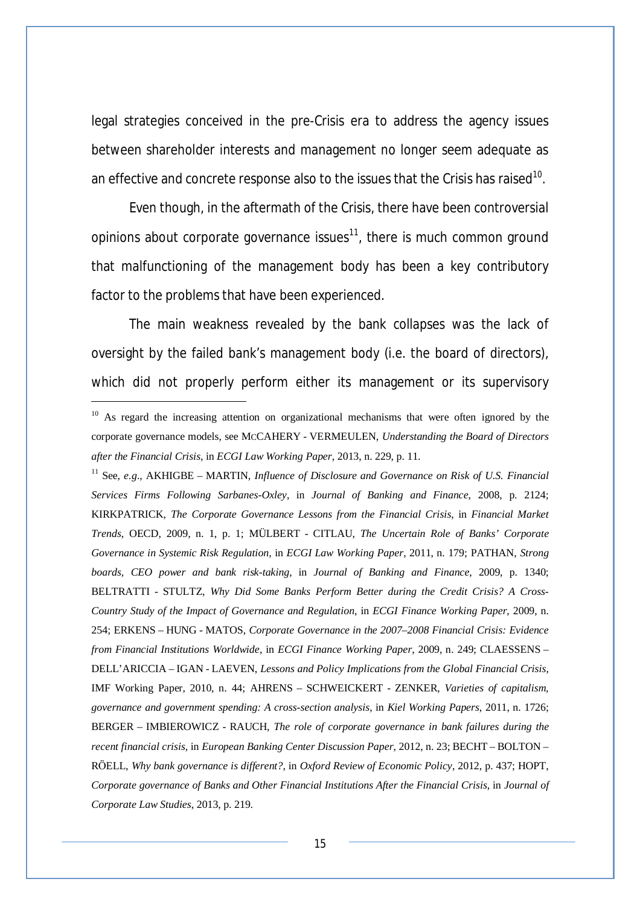legal strategies conceived in the pre-Crisis era to address the agency issues between shareholder interests and management no longer seem adequate as an effective and concrete response also to the issues that the Crisis has raised $^{\rm 10}$ .

Even though, in the aftermath of the Crisis, there have been controversial opinions about corporate governance issues<sup>11</sup>, there is much common ground that malfunctioning of the management body has been a key contributory factor to the problems that have been experienced.

The main weakness revealed by the bank collapses was the lack of oversight by the failed bank's management body (i.e. the board of directors), which did not properly perform either its management or its supervisory

 $\ddot{\phantom{a}}$ 

<sup>11</sup> See, *e.g*., AKHIGBE – MARTIN, *Influence of Disclosure and Governance on Risk of U.S. Financial Services Firms Following Sarbanes-Oxley*, in *Journal of Banking and Finance*, 2008, p. 2124; KIRKPATRICK, *The Corporate Governance Lessons from the Financial Crisis*, in *Financial Market Trends*, OECD, 2009, n. 1, p. 1; MÜLBERT - CITLAU, *The Uncertain Role of Banks' Corporate Governance in Systemic Risk Regulation,* in *ECGI Law Working Paper*, 2011, n. 179; PATHAN, *Strong boards, CEO power and bank risk-taking*, in *Journal of Banking and Finance*, 2009, p. 1340; BELTRATTI - STULTZ, *Why Did Some Banks Perform Better during the Credit Crisis? A Cross-Country Study of the Impact of Governance and Regulation*, in *ECGI Finance Working Paper*, 2009, n. 254; ERKENS – HUNG - MATOS, *Corporate Governance in the 2007–2008 Financial Crisis: Evidence from Financial Institutions Worldwide*, in *ECGI Finance Working Paper*, 2009, n. 249; CLAESSENS – DELL'ARICCIA – IGAN - LAEVEN, *Lessons and Policy Implications from the Global Financial Crisis*, IMF Working Paper, 2010, n. 44; AHRENS – SCHWEICKERT - ZENKER, *Varieties of capitalism, governance and government spending: A cross-section analysis*, in *Kiel Working Papers*, 2011, n. 1726; BERGER – IMBIEROWICZ - RAUCH, *The role of corporate governance in bank failures during the recent financial crisis*, in *European Banking Center Discussion Paper*, 2012, n. 23; BECHT – BOLTON – RӦELL, *Why bank governance is different?*, in *Oxford Review of Economic Policy*, 2012, p. 437; HOPT, *Corporate governance of Banks and Other Financial Institutions After the Financial Crisis*, in *Journal of Corporate Law Studies*, 2013, p. 219.

<sup>&</sup>lt;sup>10</sup> As regard the increasing attention on organizational mechanisms that were often ignored by the corporate governance models, see MCCAHERY - VERMEULEN, *Understanding the Board of Directors after the Financial Crisis*, in *ECGI Law Working Paper*, 2013, n. 229, p. 11.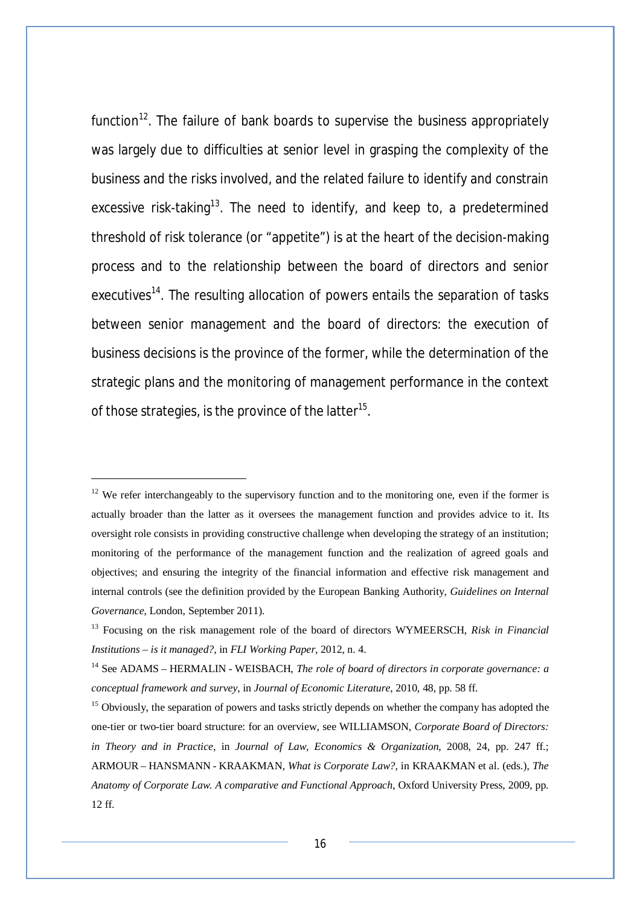function<sup>12</sup>. The failure of bank boards to supervise the business appropriately was largely due to difficulties at senior level in grasping the complexity of the business and the risks involved, and the related failure to identify and constrain excessive risk-taking<sup>13</sup>. The need to identify, and keep to, a predetermined threshold of risk tolerance (or "appetite") is at the heart of the decision-making process and to the relationship between the board of directors and senior executives<sup>14</sup>. The resulting allocation of powers entails the separation of tasks between senior management and the board of directors: the execution of business decisions is the province of the former, while the determination of the strategic plans and the monitoring of management performance in the context of those strategies, is the province of the latter $^{15}$ .

<sup>&</sup>lt;sup>12</sup> We refer interchangeably to the supervisory function and to the monitoring one, even if the former is actually broader than the latter as it oversees the management function and provides advice to it. Its oversight role consists in providing constructive challenge when developing the strategy of an institution; monitoring of the performance of the management function and the realization of agreed goals and objectives; and ensuring the integrity of the financial information and effective risk management and internal controls (see the definition provided by the European Banking Authority, *Guidelines on Internal Governance*, London, September 2011).

<sup>13</sup> Focusing on the risk management role of the board of directors WYMEERSCH, *Risk in Financial Institutions – is it managed?*, in *FLI Working Paper*, 2012, n. 4.

<sup>&</sup>lt;sup>14</sup> See ADAMS – HERMALIN - WEISBACH, *The role of board of directors in corporate governance: a conceptual framework and survey*, in *Journal of Economic Literature*, 2010, 48, pp. 58 ff.

<sup>&</sup>lt;sup>15</sup> Obviously, the separation of powers and tasks strictly depends on whether the company has adopted the one-tier or two-tier board structure: for an overview, see WILLIAMSON, *Corporate Board of Directors: in Theory and in Practice*, in *Journal of Law, Economics & Organization*, 2008, 24, pp. 247 ff.; ARMOUR – HANSMANN - KRAAKMAN, *What is Corporate Law?*, in KRAAKMAN et al. (eds.), *The Anatomy of Corporate Law. A comparative and Functional Approach*, Oxford University Press, 2009, pp. 12 ff.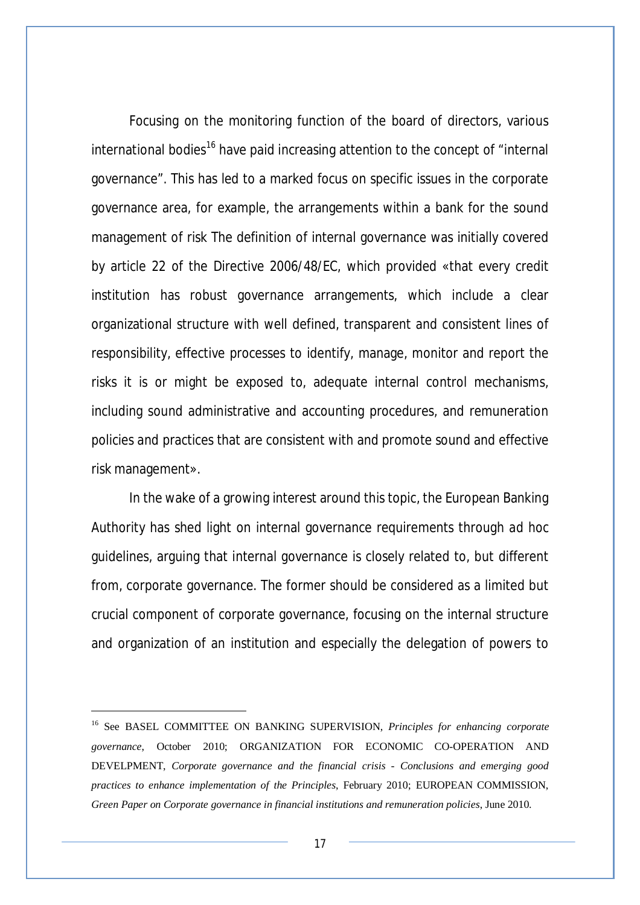Focusing on the monitoring function of the board of directors, various international bodies<sup>16</sup> have paid increasing attention to the concept of "internal governance". This has led to a marked focus on specific issues in the corporate governance area, for example, the arrangements within a bank for the sound management of risk The definition of internal governance was initially covered by article 22 of the Directive 2006/48/EC, which provided «that every credit institution has robust governance arrangements, which include a clear organizational structure with well defined, transparent and consistent lines of responsibility, effective processes to identify, manage, monitor and report the risks it is or might be exposed to, adequate internal control mechanisms, including sound administrative and accounting procedures, and remuneration policies and practices that are consistent with and promote sound and effective risk management».

In the wake of a growing interest around this topic, the European Banking Authority has shed light on internal governance requirements through *ad hoc* guidelines, arguing that internal governance is closely related to, but different from, corporate governance. The former should be considered as a limited but crucial component of corporate governance, focusing on the internal structure and organization of an institution and especially the delegation of powers to

<sup>16</sup> See BASEL COMMITTEE ON BANKING SUPERVISION, *Principles for enhancing corporate governance*, October 2010; ORGANIZATION FOR ECONOMIC CO-OPERATION AND DEVELPMENT, *Corporate governance and the financial crisis - Conclusions and emerging good practices to enhance implementation of the Principles*, February 2010; EUROPEAN COMMISSION, *Green Paper on Corporate governance in financial institutions and remuneration policies*, June 2010.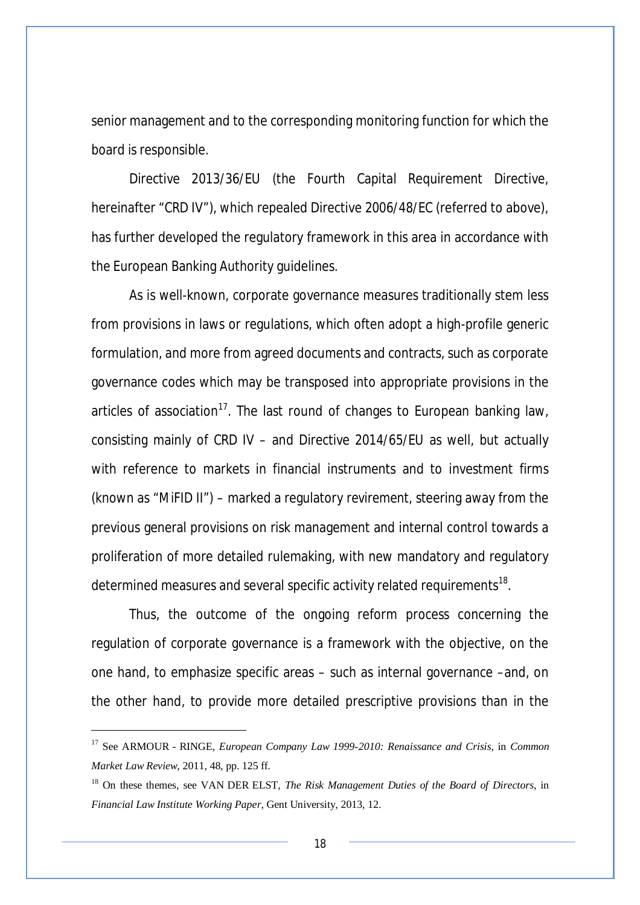senior management and to the corresponding monitoring function for which the board is responsible.

Directive 2013/36/EU (the Fourth Capital Requirement Directive, hereinafter "CRD IV"), which repealed Directive 2006/48/EC (referred to above), has further developed the regulatory framework in this area in accordance with the European Banking Authority guidelines.

As is well-known, corporate governance measures traditionally stem less from provisions in laws or regulations, which often adopt a high-profile generic formulation, and more from agreed documents and contracts, such as corporate governance codes which may be transposed into appropriate provisions in the articles of association<sup>17</sup>. The last round of changes to European banking law, consisting mainly of CRD IV – and Directive 2014/65/EU as well, but actually with reference to markets in financial instruments and to investment firms (known as "MiFID II") – marked a regulatory *revirement*, steering away from the previous general provisions on risk management and internal control towards a proliferation of more detailed rulemaking, with new mandatory and regulatory determined measures and several specific activity related requirements $^{\rm 18}.$ 

Thus, the outcome of the ongoing reform process concerning the regulation of corporate governance is a framework with the objective, on the one hand, to emphasize specific areas – such as internal governance –and, on the other hand, to provide more detailed prescriptive provisions than in the

<sup>17</sup> See ARMOUR - RINGE, *European Company Law 1999-2010: Renaissance and Crisis*, in *Common Market Law Review*, 2011, 48, pp. 125 ff.

<sup>18</sup> On these themes, see VAN DER ELST, *The Risk Management Duties of the Board of Directors*, in *Financial Law Institute Working Paper*, Gent University, 2013, 12.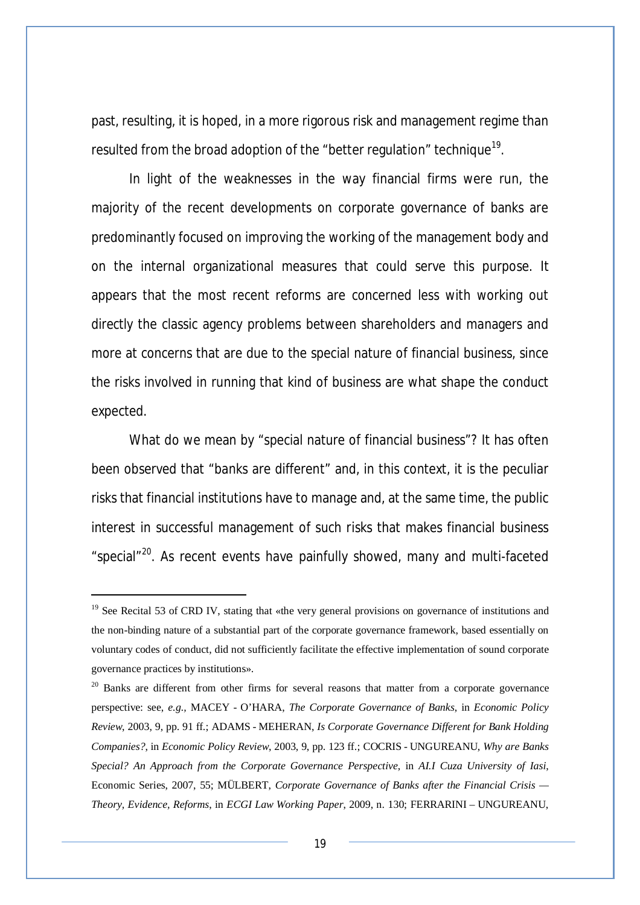past, resulting, it is hoped, in a more rigorous risk and management regime than resulted from the broad adoption of the "better regulation" technique $^{19}$ .

In light of the weaknesses in the way financial firms were run, the majority of the recent developments on corporate governance of banks are predominantly focused on improving the working of the management body and on the internal organizational measures that could serve this purpose. It appears that the most recent reforms are concerned less with working out *directly* the classic agency problems between shareholders and managers and more at concerns that are due to the special nature of financial business, since the *risks* involved in running that kind of business are what shape the conduct expected.

What do we mean by "special nature of financial business"? It has often been observed that "banks are different" and, in this context, it is the peculiar risks that financial institutions have to manage and, at the same time, the public interest in successful management of such risks that makes financial business "special $^{\prime\prime\prime}$ <sup>20</sup>. As recent events have painfully showed, many and multi-faceted

<sup>&</sup>lt;sup>19</sup> See Recital 53 of CRD IV, stating that «the very general provisions on governance of institutions and the non-binding nature of a substantial part of the corporate governance framework, based essentially on voluntary codes of conduct, did not sufficiently facilitate the effective implementation of sound corporate governance practices by institutions».

<sup>&</sup>lt;sup>20</sup> Banks are different from other firms for several reasons that matter from a corporate governance perspective: see, *e.g.,* MACEY - O'HARA, *The Corporate Governance of Banks*, in *Economic Policy Review*, 2003, 9, pp. 91 ff.; ADAMS - MEHERAN, *Is Corporate Governance Different for Bank Holding Companies?*, in *Economic Policy Review*, 2003, 9, pp. 123 ff.; COCRIS - UNGUREANU, *Why are Banks Special? An Approach from the Corporate Governance Perspective*, in *AI.I Cuza University of Iasi*, Economic Series, 2007, 55; MÜLBERT, *Corporate Governance of Banks after the Financial Crisis — Theory, Evidence, Reforms*, in *ECGI Law Working Paper*, 2009, n. 130; FERRARINI – UNGUREANU,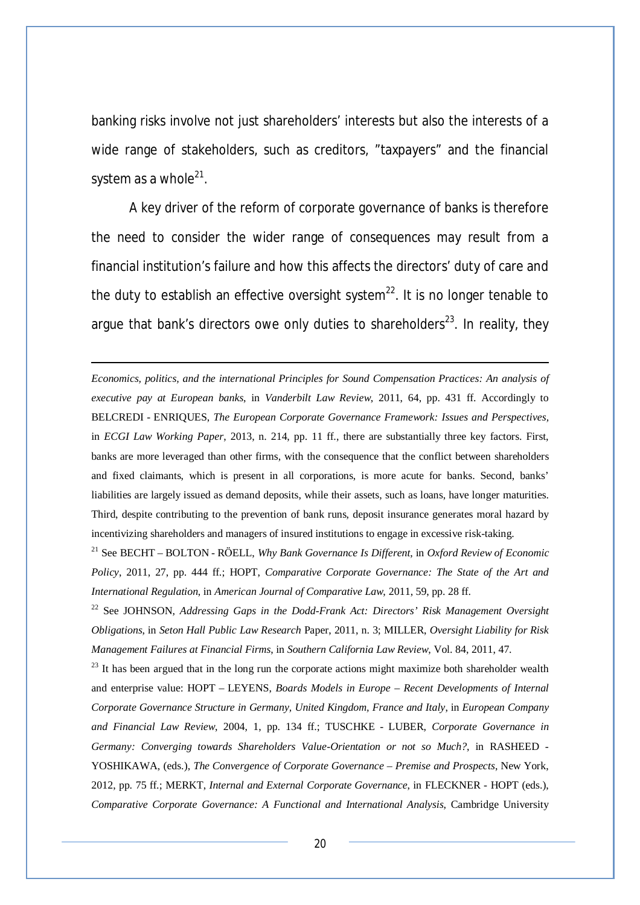banking risks involve not just shareholders' interests but also the interests of a wide range of stakeholders, such as creditors, "taxpayers" and the financial system as a whole<sup>21</sup>.

A key driver of the reform of corporate governance of banks is therefore the need to consider the wider range of consequences may result from a financial institution's failure and how this affects the directors' duty of care and the duty to establish an effective oversight system $^{22}$ . It is no longer tenable to argue that bank's directors owe only duties to shareholders<sup>23</sup>. In reality, they

 $\overline{a}$ 

*Economics, politics, and the international Principles for Sound Compensation Practices: An analysis of executive pay at European banks*, in *Vanderbilt Law Review*, 2011, 64, pp. 431 ff. Accordingly to BELCREDI - ENRIQUES, *The European Corporate Governance Framework: Issues and Perspectives,*  in *ECGI Law Working Paper*, 2013, n. 214, pp. 11 ff., there are substantially three key factors. First, banks are more leveraged than other firms, with the consequence that the conflict between shareholders and fixed claimants, which is present in all corporations, is more acute for banks. Second, banks' liabilities are largely issued as demand deposits, while their assets, such as loans, have longer maturities. Third, despite contributing to the prevention of bank runs, deposit insurance generates moral hazard by incentivizing shareholders and managers of insured institutions to engage in excessive risk-taking.

<sup>21</sup> See BECHT – BOLTON - RӦELL, *Why Bank Governance Is Different*, in *Oxford Review of Economic Policy*, 2011, 27, pp. 444 ff.; HOPT, *Comparative Corporate Governance: The State of the Art and International Regulation*, in *American Journal of Comparative Law*, 2011, 59, pp. 28 ff.

<sup>22</sup> See JOHNSON, *Addressing Gaps in the Dodd-Frank Act: Directors' Risk Management Oversight Obligations*, in *Seton Hall Public Law Research* Paper, 2011, n. 3; MILLER, *Oversight Liability for Risk Management Failures at Financial Firms*, in *Southern California Law Review*, Vol. 84, 2011, 47.

<sup>23</sup> It has been argued that in the long run the corporate actions might maximize both shareholder wealth and enterprise value: HOPT – LEYENS, *Boards Models in Europe – Recent Developments of Internal Corporate Governance Structure in Germany, United Kingdom, France and Italy*, in *European Company and Financial Law Review*, 2004, 1, pp. 134 ff.; TUSCHKE - LUBER, *Corporate Governance in Germany: Converging towards Shareholders Value-Orientation or not so Much?*, in RASHEED - YOSHIKAWA, (eds.), *The Convergence of Corporate Governance – Premise and Prospects*, New York, 2012, pp. 75 ff.; MERKT, *Internal and External Corporate Governance*, in FLECKNER - HOPT (eds.), *Comparative Corporate Governance: A Functional and International Analysis*, Cambridge University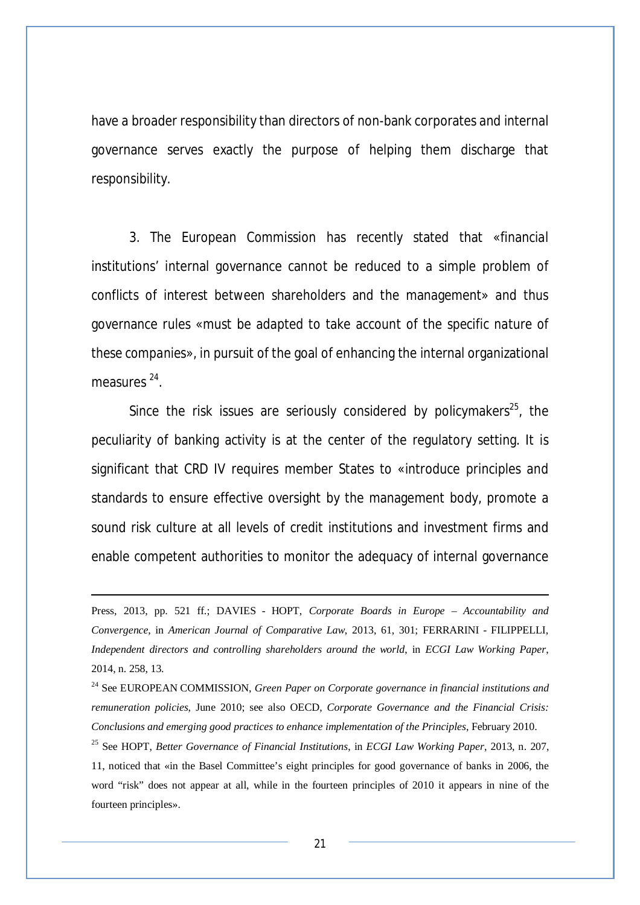have a broader responsibility than directors of non-bank corporates and internal governance serves exactly the purpose of helping them discharge that responsibility.

3. The European Commission has recently stated that «financial institutions' internal governance cannot be reduced to a simple problem of conflicts of interest between shareholders and the management» and thus governance rules «must be adapted to take account of the *specific nature of these companies*», in pursuit of the goal of enhancing the internal organizational measures<sup>24</sup>.

Since the risk issues are seriously considered by policymakers<sup>25</sup>, the peculiarity of banking activity is at the center of the regulatory setting. It is significant that CRD IV requires member States to «introduce principles and standards to ensure effective oversight by the management body, promote a sound risk culture at all levels of credit institutions and investment firms and enable competent authorities to monitor the adequacy of internal governance

Press, 2013, pp. 521 ff.; DAVIES - HOPT, *Corporate Boards in Europe – Accountability and Convergence*, in *American Journal of Comparative Law*, 2013, 61, 301; FERRARINI - FILIPPELLI, *Independent directors and controlling shareholders around the world*, in *ECGI Law Working Paper*, 2014, n. 258, 13.

 $\overline{a}$ 

<sup>24</sup> See EUROPEAN COMMISSION, *Green Paper on Corporate governance in financial institutions and remuneration policies*, June 2010; see also OECD, *Corporate Governance and the Financial Crisis: Conclusions and emerging good practices to enhance implementation of the Principles*, February 2010.

<sup>25</sup> See HOPT, *Better Governance of Financial Institutions*, in *ECGI Law Working Paper*, 2013, n. 207, 11, noticed that «in the Basel Committee's eight principles for good governance of banks in 2006, the word "risk" does not appear at all, while in the fourteen principles of 2010 it appears in nine of the fourteen principles».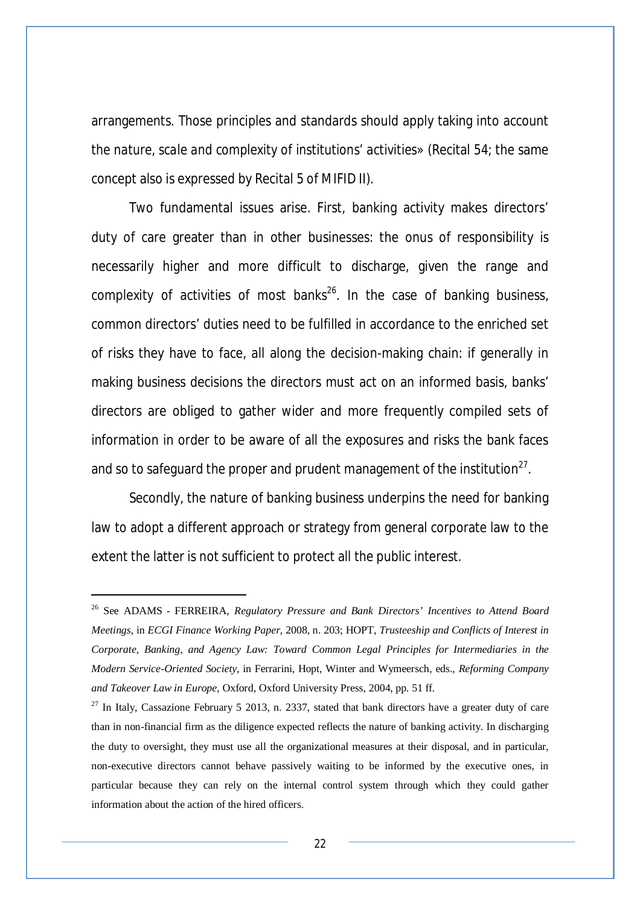arrangements. Those principles and standards should apply taking into account the *nature, scale and complexity of institutions' activities*» (Recital 54; the same concept also is expressed by Recital 5 of MIFID II).

Two fundamental issues arise. First, banking activity makes directors' duty of care greater than in other businesses: the onus of responsibility is necessarily higher and more difficult to discharge, given the range and complexity of activities of most banks<sup>26</sup>. In the case of banking business, common directors' duties need to be fulfilled in accordance to the enriched set of risks they have to face, all along the decision-making chain: if generally in making business decisions the directors must act on an informed basis, banks' directors are obliged to gather wider and more frequently compiled sets of information in order to be aware of all the exposures and risks the bank faces and so to safeguard the proper and prudent management of the institution $^{27}\!.$ 

Secondly, the nature of banking business underpins the need for banking law to adopt a different approach or strategy from general corporate law to the extent the latter is not sufficient to protect all the public interest.

<sup>26</sup> See ADAMS - FERREIRA, *Regulatory Pressure and Bank Directors' Incentives to Attend Board Meetings*, in *ECGI Finance Working Paper*, 2008, n. 203; HOPT, *Trusteeship and Conflicts of Interest in Corporate, Banking, and Agency Law: Toward Common Legal Principles for Intermediaries in the Modern Service-Oriented Society*, in Ferrarini, Hopt, Winter and Wymeersch, eds., *Reforming Company and Takeover Law in Europe*, Oxford, Oxford University Press, 2004, pp. 51 ff.

 $27$  In Italy, Cassazione February 5 2013, n. 2337, stated that bank directors have a greater duty of care than in non-financial firm as the diligence expected reflects the nature of banking activity. In discharging the duty to oversight, they must use all the organizational measures at their disposal, and in particular, non-executive directors cannot behave passively waiting to be informed by the executive ones, in particular because they can rely on the internal control system through which they could gather information about the action of the hired officers.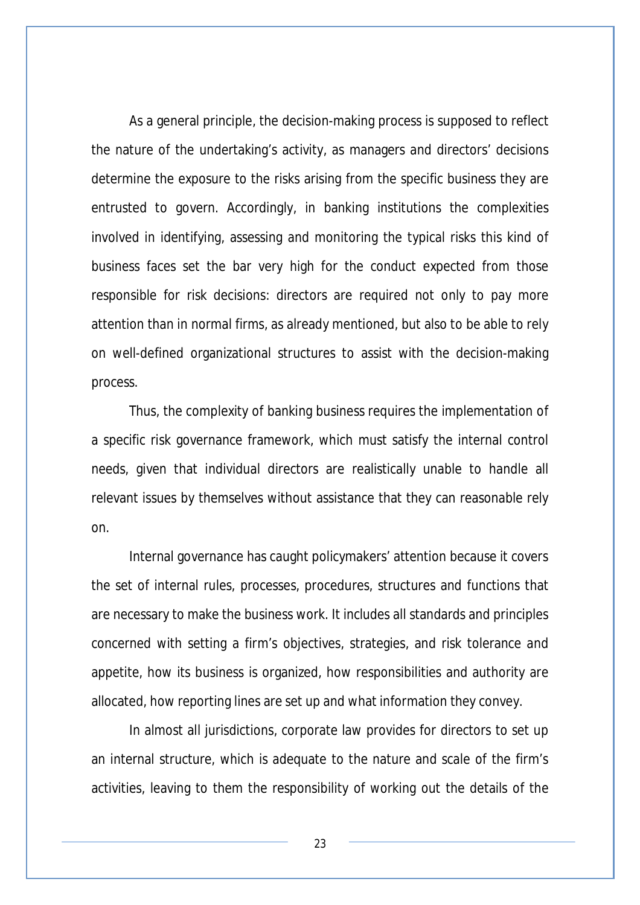As a general principle, the decision-making process is supposed to reflect the nature of the undertaking's activity, as managers and directors' decisions determine the exposure to the risks arising from the specific business they are entrusted to govern. Accordingly, in banking institutions the complexities involved in identifying, assessing and monitoring the typical risks this kind of business faces set the bar very high for the conduct expected from those responsible for risk decisions: directors are required not only to pay more attention than in normal firms, as already mentioned, but also to be able to rely on well-defined organizational structures to assist with the decision-making process.

Thus, the complexity of banking business requires the implementation of a specific risk governance framework, which must satisfy the internal control needs, given that individual directors are realistically unable to handle all relevant issues by themselves without assistance that they can reasonable rely on.

Internal governance has caught policymakers' attention because it covers the set of internal rules, processes, procedures, structures and functions that are necessary to make the business work. It includes all standards and principles concerned with setting a firm's objectives, strategies, and risk tolerance and appetite, how its business is organized, how responsibilities and authority are allocated, how reporting lines are set up and what information they convey.

In almost all jurisdictions, corporate law provides for directors to set up an internal structure, which is adequate to the nature and scale of the firm's activities, leaving to them the responsibility of working out the details of the

23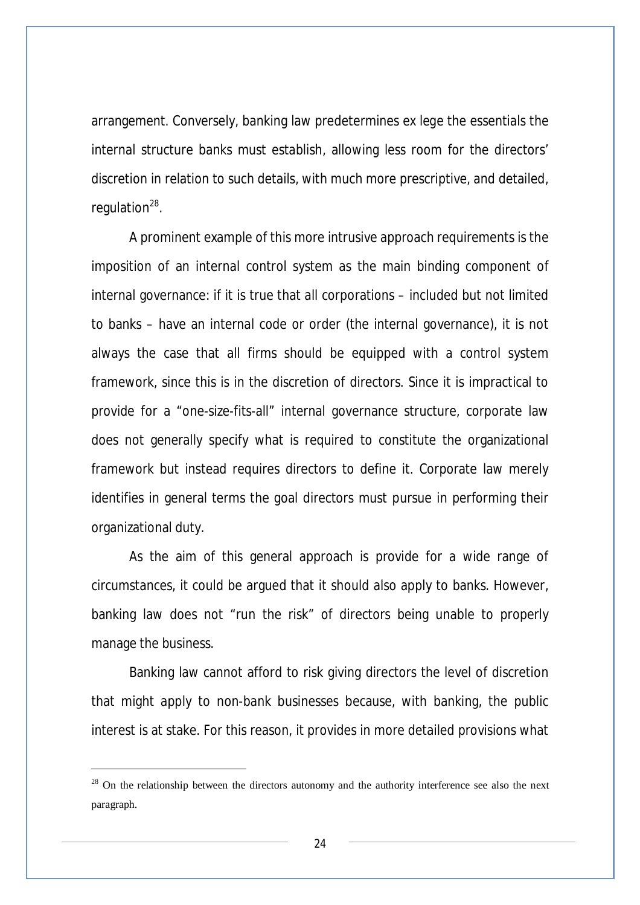arrangement. Conversely, banking law predetermines *ex lege* the essentials the internal structure banks must establish, allowing less room for the directors' discretion in relation to such details, with much more prescriptive, and detailed, regulation<sup>28</sup>.

A prominent example of this more intrusive approach requirements is the imposition of an internal control system as the main binding component of internal governance: if it is true that all corporations – included but not limited to banks – have an internal code or order (the internal governance), it is not always the case that all firms should be equipped with a control system framework, since this is in the discretion of directors. Since it is impractical to provide for a "one-size-fits-all" internal governance structure, corporate law does not generally specify what is required to constitute the organizational framework but instead requires directors to define it. Corporate law merely identifies in general terms the goal directors must pursue in performing their organizational duty.

As the aim of this general approach is provide for a wide range of circumstances, it could be argued that it should also apply to banks. However, banking law does not "run the risk" of directors being unable to properly manage the business.

Banking law cannot afford to risk giving directors the level of discretion that might apply to non-bank businesses because, with banking, the public interest is at stake. For this reason, it provides in more detailed provisions what

 $28$  On the relationship between the directors autonomy and the authority interference see also the next paragraph.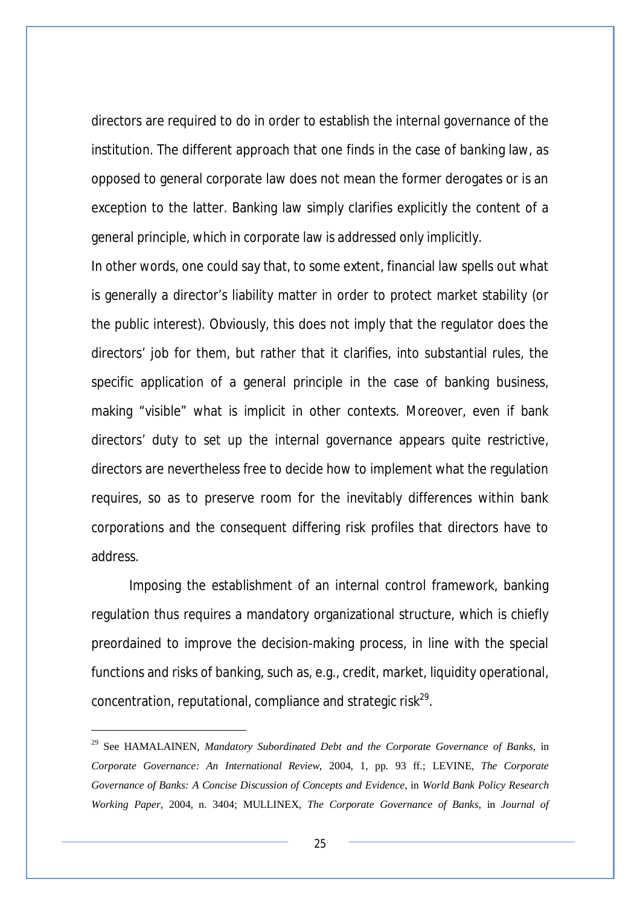directors are required to do in order to establish the internal governance of the institution. The different approach that one finds in the case of banking law, as opposed to general corporate law does not mean the former derogates or is an exception to the latter. Banking law simply clarifies explicitly the content of a general principle, which in corporate law is addressed only implicitly.

In other words, one could say that, to some extent, financial law spells out what is generally a director's liability matter in order to protect market stability (or the public interest). Obviously, this does not imply that the regulator does the directors' job for them, but rather that it clarifies, into substantial rules, the specific application of a general principle in the case of banking business, making "visible" what is implicit in other contexts. Moreover, even if bank directors' duty to set up the internal governance appears quite restrictive, directors are nevertheless free to decide *how* to implement what the regulation requires, so as to preserve room for the inevitably differences within bank corporations and the consequent differing risk profiles that directors have to address.

Imposing the establishment of an internal control framework, banking regulation thus requires a mandatory organizational structure, which is chiefly preordained to improve the decision-making process, in line with the special functions and risks of banking, such as, e.g., credit, market, liquidity operational, concentration, reputational, compliance and strategic risk $^{29}$ .

<sup>29</sup> See HAMALAINEN, *Mandatory Subordinated Debt and the Corporate Governance of Banks*, in *Corporate Governance: An International Review*, 2004, 1, pp. 93 ff.; LEVINE, *The Corporate Governance of Banks: A Concise Discussion of Concepts and Evidence*, in *World Bank Policy Research Working Paper*, 2004, n. 3404; MULLINEX, *The Corporate Governance of Banks*, in *Journal of*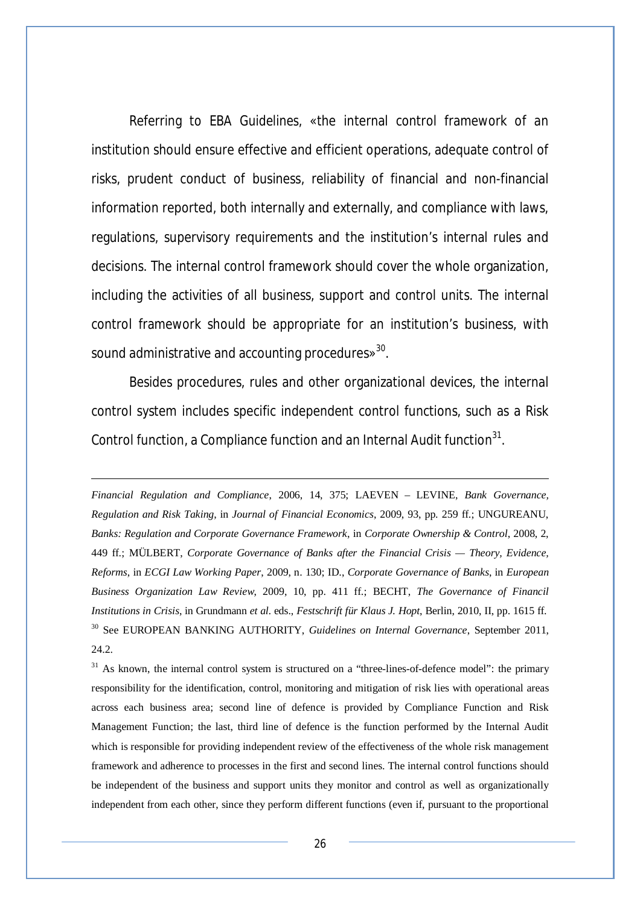Referring to EBA *Guidelines*, «the internal control framework of an institution should ensure effective and efficient operations, adequate control of risks, prudent conduct of business, reliability of financial and non-financial information reported, both internally and externally, and compliance with laws, regulations, supervisory requirements and the institution's internal rules and decisions. The internal control framework should cover the whole organization, including the activities of all business, support and control units. The internal control framework should be appropriate for an institution's business, with sound administrative and accounting procedures» $^{\rm 30}$ .

Besides procedures, rules and other organizational devices, the internal control system includes specific independent control functions, such as a Risk Control function, a Compliance function and an Internal Audit function $^{31}$ .

 $\overline{a}$ 

*Financial Regulation and Compliance*, 2006, 14, 375; LAEVEN – LEVINE, *Bank Governance, Regulation and Risk Taking*, in *Journal of Financial Economics*, 2009, 93, pp. 259 ff.; UNGUREANU, *Banks: Regulation and Corporate Governance Framework*, in *Corporate Ownership & Control*, 2008, 2, 449 ff.; MÜLBERT, *Corporate Governance of Banks after the Financial Crisis — Theory, Evidence, Reforms*, in *ECGI Law Working Paper*, 2009, n. 130; ID., *Corporate Governance of Banks*, in *European Business Organization Law Review*, 2009, 10, pp. 411 ff.; BECHT, *The Governance of Financil Institutions in Crisis*, in Grundmann *et al.* eds., *Festschrift für Klaus J. Hopt*, Berlin, 2010, II, pp. 1615 ff. <sup>30</sup> See EUROPEAN BANKING AUTHORITY, *Guidelines on Internal Governance*, September 2011, 24.2.

 $31$  As known, the internal control system is structured on a "three-lines-of-defence model": the primary responsibility for the identification, control, monitoring and mitigation of risk lies with operational areas across each business area; second line of defence is provided by Compliance Function and Risk Management Function; the last, third line of defence is the function performed by the Internal Audit which is responsible for providing independent review of the effectiveness of the whole risk management framework and adherence to processes in the first and second lines. The internal control functions should be independent of the business and support units they monitor and control as well as organizationally independent from each other, since they perform different functions (even if, pursuant to the proportional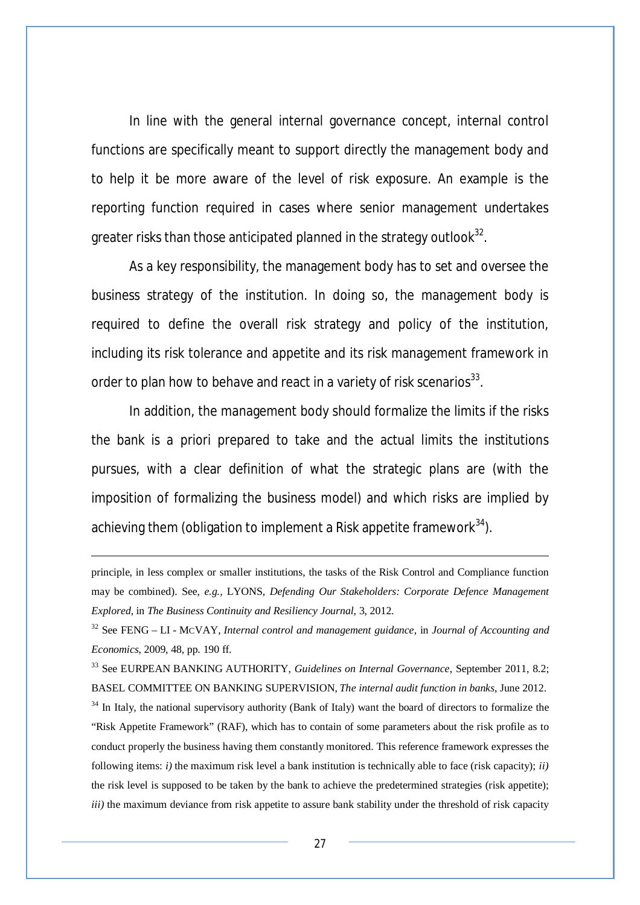In line with the general internal governance concept, internal control functions are specifically meant to support directly the management body and to help it be more aware of the level of risk exposure. An example is the reporting function required in cases where senior management undertakes greater risks than those anticipated planned in the strategy outlook $^{32}\!.$ 

As a key responsibility, the management body has to set and oversee the business strategy of the institution. In doing so, the management body is required to define the overall risk strategy and policy of the institution, including its risk tolerance and appetite and its risk management framework in order to plan how to behave and react in a variety of risk scenarios $^{\rm 33}.$ 

In addition, the management body should formalize the limits if the risks the bank is *a priori* prepared to take and the actual limits the institutions pursues, with a clear definition of what the strategic plans are (with the imposition of formalizing the business model) and which risks are implied by achieving them (obligation to implement a Risk appetite framework<sup>34</sup>).

 $\overline{a}$ 

<sup>33</sup> See EURPEAN BANKING AUTHORITY, *Guidelines on Internal Governance*, September 2011, 8.2; BASEL COMMITTEE ON BANKING SUPERVISION, *The internal audit function in banks*, June 2012.

<sup>34</sup> In Italy, the national supervisory authority (Bank of Italy) want the board of directors to formalize the "Risk Appetite Framework" (RAF), which has to contain of some parameters about the risk profile as to conduct properly the business having them constantly monitored. This reference framework expresses the following items: *i)* the maximum risk level a bank institution is technically able to face (risk capacity); *ii)* the risk level is supposed to be taken by the bank to achieve the predetermined strategies (risk appetite); *iii*) the maximum deviance from risk appetite to assure bank stability under the threshold of risk capacity

principle, in less complex or smaller institutions, the tasks of the Risk Control and Compliance function may be combined). See, *e.g.,* LYONS, *Defending Our Stakeholders: Corporate Defence Management Explored*, in *The Business Continuity and Resiliency Journal*, 3, 2012.

<sup>32</sup> See FENG – LI - MCVAY, *Internal control and management guidance*, in *Journal of Accounting and Economics*, 2009, 48, pp. 190 ff.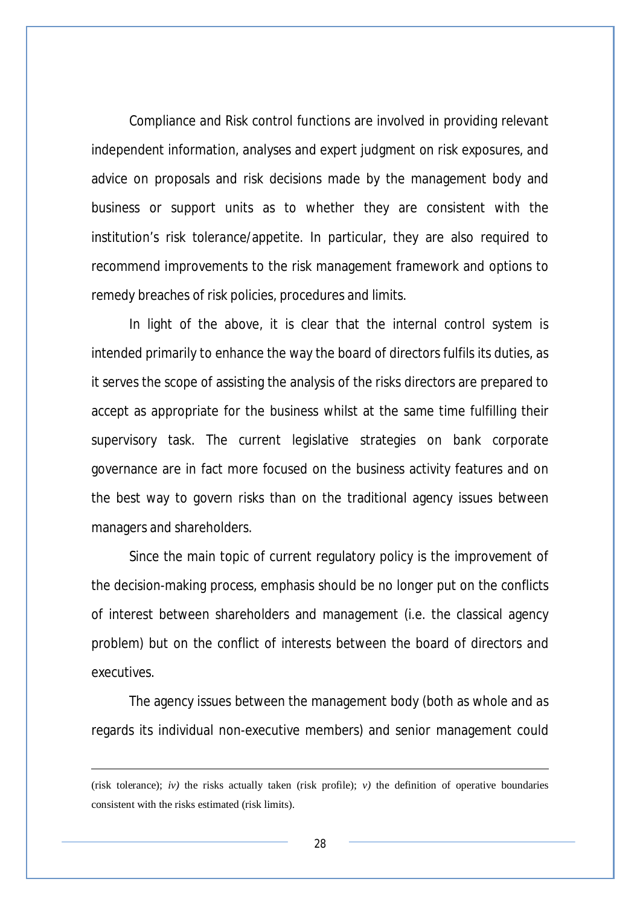Compliance and Risk control functions are involved in providing relevant independent information, analyses and expert judgment on risk exposures, and advice on proposals and risk decisions made by the management body and business or support units as to whether they are consistent with the institution's risk tolerance/appetite. In particular, they are also required to recommend improvements to the risk management framework and options to remedy breaches of risk policies, procedures and limits.

In light of the above, it is clear that the internal control system is intended primarily to enhance the way the board of directors fulfils its duties, as it serves the scope of assisting the analysis of the risks directors are prepared to accept as appropriate for the business whilst at the same time fulfilling their supervisory task. The current legislative strategies on bank corporate governance are in fact more focused on the business activity features and on the best way to govern risks than on the traditional agency issues between managers and shareholders.

Since the main topic of current regulatory policy is the improvement of the decision-making process, emphasis should be no longer put on the conflicts of interest between shareholders and management (i.e. the classical agency problem) but on the conflict of interests between the board of directors and executives.

The agency issues between the management body (both as whole and as regards its individual non-executive members) and senior management could

<sup>(</sup>risk tolerance); *iv*) the risks actually taken (risk profile); *v*) the definition of operative boundaries consistent with the risks estimated (risk limits).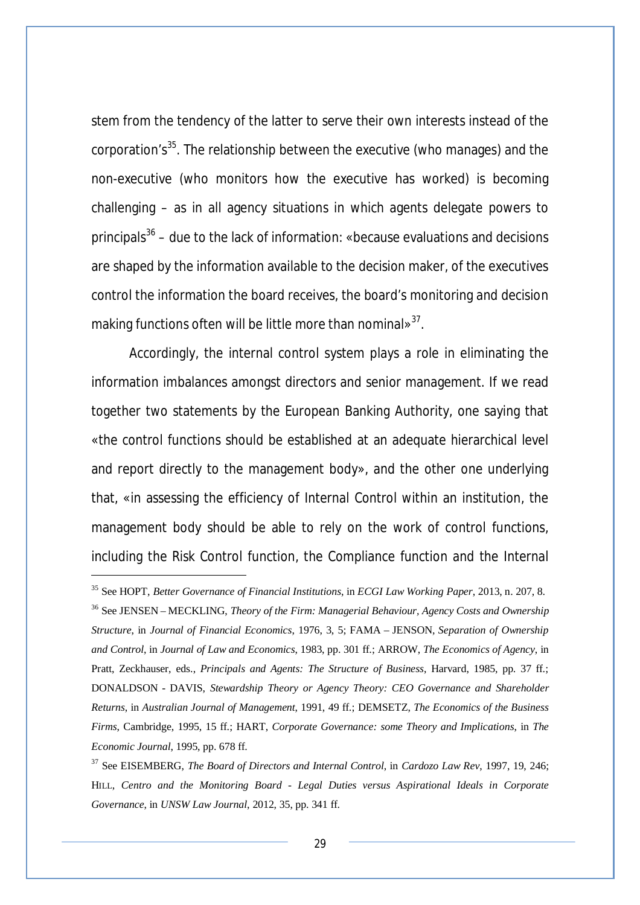stem from the tendency of the latter to serve their own interests instead of the corporation's<sup>35</sup>. The relationship between the executive (who manages) and the non-executive (who monitors how the executive has worked) is becoming challenging – as in all agency situations in which agents delegate powers to principals<sup>36</sup> – due to the lack of information: «because evaluations and decisions are shaped by the information available to the decision maker, of the executives control the information the board receives, the board's monitoring and decision making functions often will be little more than nominal» $^{\mathsf{37}}$ .

Accordingly, the internal control system plays a role in eliminating the information imbalances amongst directors and senior management. If we read together two statements by the European Banking Authority, one saying that «the control functions should be established at an adequate hierarchical level and report directly to the management body», and the other one underlying that, «in assessing the efficiency of Internal Control within an institution, the management body should be able to rely on the work of control functions, including the Risk Control function, the Compliance function and the Internal

<sup>35</sup> See HOPT, *Better Governance of Financial Institutions*, in *ECGI Law Working Paper*, 2013, n. 207, 8. <sup>36</sup> See JENSEN – MECKLING, *Theory of the Firm: Managerial Behaviour, Agency Costs and Ownership Structure*, in *Journal of Financial Economics*, 1976, 3, 5; FAMA – JENSON, *Separation of Ownership and Control*, in *Journal of Law and Economics*, 1983, pp. 301 ff.; ARROW, *The Economics of Agency*, in Pratt, Zeckhauser, eds., *Principals and Agents: The Structure of Business*, Harvard, 1985, pp. 37 ff.; DONALDSON - DAVIS, *Stewardship Theory or Agency Theory: CEO Governance and Shareholder Returns*, in *Australian Journal of Management*, 1991, 49 ff.; DEMSETZ, *The Economics of the Business Firms*, Cambridge, 1995, 15 ff.; HART, *Corporate Governance: some Theory and Implications*, in *The Economic Journal*, 1995, pp. 678 ff.

<sup>37</sup> See EISEMBERG, *The Board of Directors and Internal Control*, in *Cardozo Law Rev*, 1997, 19, 246; HILL, *Centro and the Monitoring Board - Legal Duties versus Aspirational Ideals in Corporate Governance*, in *UNSW Law Journal*, 2012, 35, pp. 341 ff.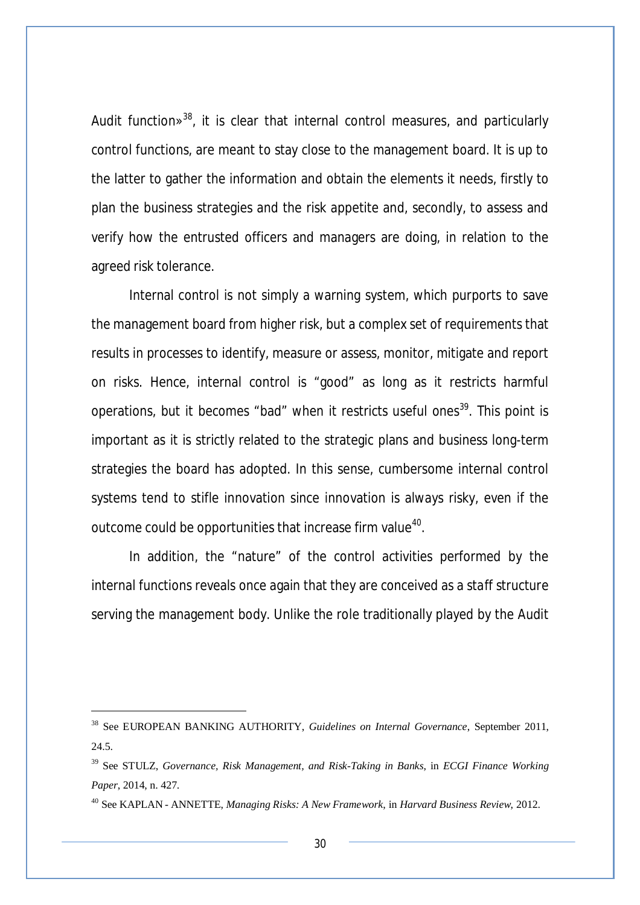Audit function»<sup>38</sup>, it is clear that internal control measures, and particularly control functions, are meant to stay close to the management board. It is up to the latter to gather the information and obtain the elements it needs, firstly to plan the business strategies and the risk appetite and, secondly, to assess and verify how the entrusted officers and managers are doing, in relation to the agreed risk tolerance.

Internal control is not simply a warning system, which purports to save the management board from higher risk, but a complex set of requirements that results in processes to identify, measure or assess, monitor, mitigate and report on risks. Hence, internal control is "good" as long as it restricts harmful operations, but it becomes "bad" when it restricts useful ones<sup>39</sup>. This point is important as it is strictly related to the strategic plans and business long-term strategies the board has adopted. In this sense, cumbersome internal control systems tend to stifle innovation since innovation is always risky, even if the outcome could be opportunities that increase firm value $^{40}$ .

In addition, the "nature" of the control activities performed by the internal functions reveals once again that they are conceived as a *staff* structure serving the management body. Unlike the role traditionally played by the Audit

<sup>38</sup> See EUROPEAN BANKING AUTHORITY, *Guidelines on Internal Governance*, September 2011, 24.5.

<sup>39</sup> See STULZ, *Governance, Risk Management, and Risk-Taking in Banks*, in *ECGI Finance Working Paper*, 2014, n. 427.

<sup>40</sup> See KAPLAN - ANNETTE, *Managing Risks: A New Framework*, in *Harvard Business Review*, 2012.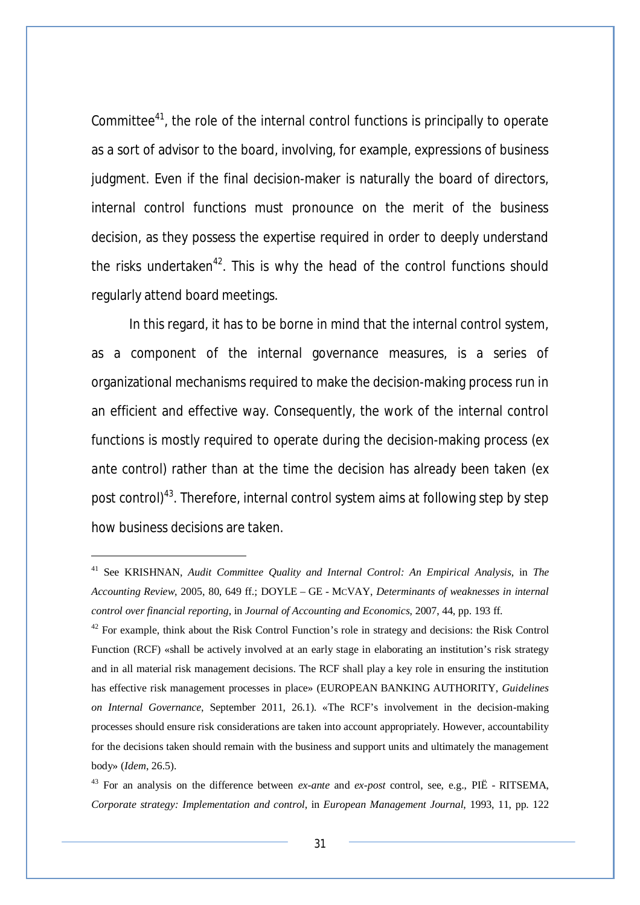Committee<sup>41</sup>, the role of the internal control functions is principally to operate as a sort of advisor to the board, involving, for example, expressions of business judgment. Even if the final decision-maker is naturally the board of directors, internal control functions must pronounce on the merit of the business decision, as they possess the expertise required in order to deeply understand the risks undertaken<sup>42</sup>. This is why the head of the control functions should regularly attend board meetings.

In this regard, it has to be borne in mind that the internal control system, as a component of the internal governance measures, is a series of organizational mechanisms required to make the decision-making process run in an efficient and effective way. Consequently, the work of the internal control functions is mostly required to operate during the decision-making process (*ex ante* control) rather than at the time the decision has already been taken (*ex post* control)<sup>43</sup>. Therefore, internal control system aims at following step by step how business decisions are taken.

<sup>41</sup> See KRISHNAN, *Audit Committee Quality and Internal Control: An Empirical Analysis*, in *The Accounting Review*, 2005, 80, 649 ff.; DOYLE – GE - MCVAY, *Determinants of weaknesses in internal control over financial reporting*, in *Journal of Accounting and Economics*, 2007, 44, pp. 193 ff.

<sup>&</sup>lt;sup>42</sup> For example, think about the Risk Control Function's role in strategy and decisions: the Risk Control Function (RCF) «shall be actively involved at an early stage in elaborating an institution's risk strategy and in all material risk management decisions. The RCF shall play a key role in ensuring the institution has effective risk management processes in place» (EUROPEAN BANKING AUTHORITY, *Guidelines on Internal Governance*, September 2011, 26.1). «The RCF's involvement in the decision-making processes should ensure risk considerations are taken into account appropriately. However, accountability for the decisions taken should remain with the business and support units and ultimately the management body» (*Idem*, 26.5).

<sup>43</sup> For an analysis on the difference between *ex-ante* and *ex-post* control, see, e.g., PIË - RITSEMA, *Corporate strategy: Implementation and control*, in *European Management Journal*, 1993, 11, pp. 122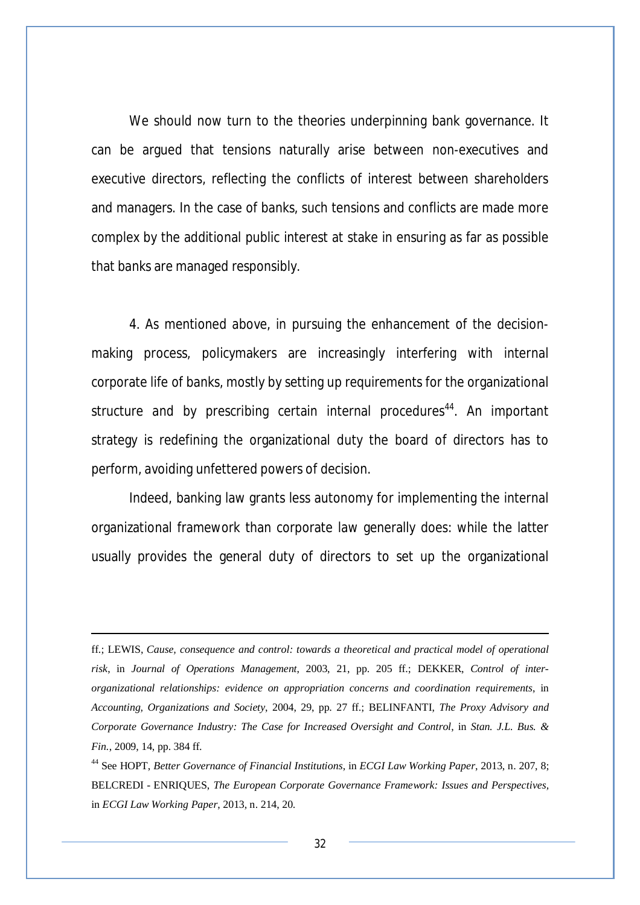We should now turn to the theories underpinning bank governance. It can be argued that tensions naturally arise between non-executives and executive directors, reflecting the conflicts of interest between shareholders and managers. In the case of banks, such tensions and conflicts are made more complex by the additional public interest at stake in ensuring as far as possible that banks are managed responsibly.

4. As mentioned above, in pursuing the enhancement of the decisionmaking process, policymakers are increasingly interfering with internal corporate life of banks, mostly by setting up requirements for the organizational structure and by prescribing certain internal procedures<sup>44</sup>. An important strategy is redefining the organizational duty the board of directors has to perform, avoiding unfettered powers of decision.

Indeed, banking law grants less autonomy for implementing the internal organizational framework than corporate law generally does: while the latter usually provides the general duty of directors to set up the organizational

ff.; LEWIS, *Cause, consequence and control: towards a theoretical and practical model of operational risk*, in *Journal of Operations Management*, 2003, 21, pp. 205 ff.; DEKKER, *Control of interorganizational relationships: evidence on appropriation concerns and coordination requirements*, in *Accounting, Organizations and Society*, 2004, 29, pp. 27 ff.; BELINFANTI, *The Proxy Advisory and Corporate Governance Industry: The Case for Increased Oversight and Control*, in *Stan. J.L. Bus. & Fin.*, 2009, 14, pp. 384 ff.

 $\overline{a}$ 

<sup>44</sup> See HOPT, *Better Governance of Financial Institutions*, in *ECGI Law Working Paper*, 2013, n. 207, 8; BELCREDI - ENRIQUES, *The European Corporate Governance Framework: Issues and Perspectives,*  in *ECGI Law Working Paper*, 2013, n. 214, 20.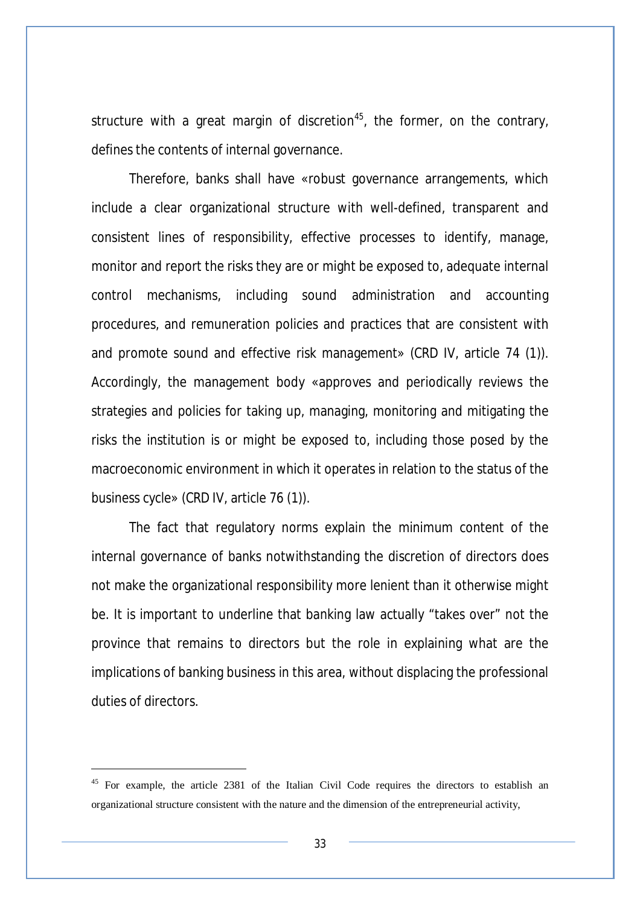structure with a great margin of discretion<sup>45</sup>, the former, on the contrary, defines the contents of internal governance.

Therefore, banks shall have «robust governance arrangements, which include a clear organizational structure with well-defined, transparent and consistent lines of responsibility, effective processes to identify, manage, monitor and report the risks they are or might be exposed to, adequate internal control mechanisms, including sound administration and accounting procedures, and remuneration policies and practices that are consistent with and promote sound and effective risk management» (CRD IV, article 74 (1)). Accordingly, the management body «approves and periodically reviews the strategies and policies for taking up, managing, monitoring and mitigating the risks the institution is or might be exposed to, including those posed by the macroeconomic environment in which it operates in relation to the status of the business cycle» (CRD IV, article 76 (1)).

The fact that regulatory norms explain the minimum content of the internal governance of banks notwithstanding the discretion of directors does not make the organizational responsibility more lenient than it otherwise might be. It is important to underline that banking law actually "takes over" not the province that remains to directors but the role in explaining what are the implications of banking business in this area, without displacing the professional duties of directors.

<sup>&</sup>lt;sup>45</sup> For example, the article 2381 of the Italian Civil Code requires the directors to establish an organizational structure consistent with the nature and the dimension of the entrepreneurial activity,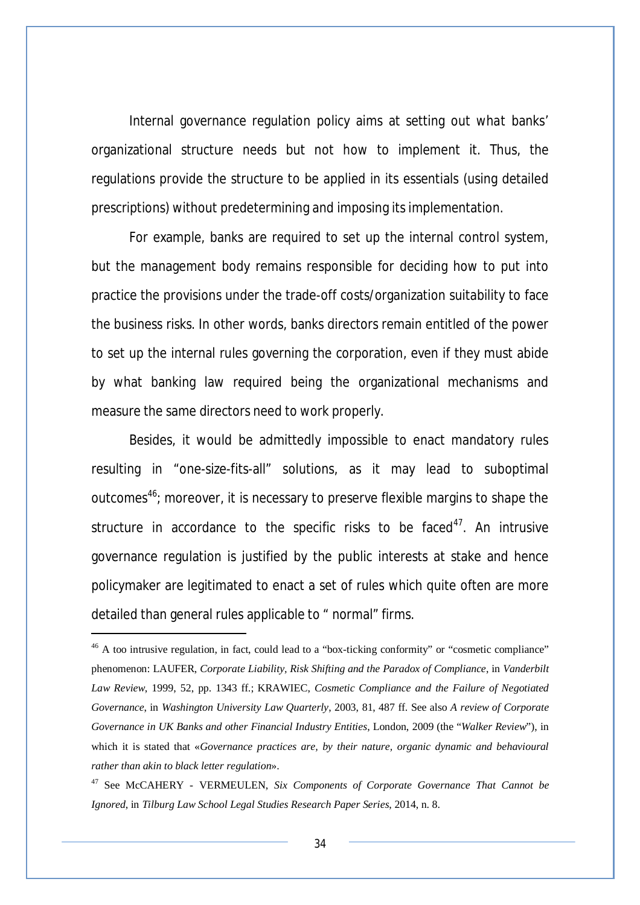Internal governance regulation policy aims at setting out *what* banks' organizational structure needs but not *how* to implement it. Thus, the regulations provide the structure to be applied in its essentials (using detailed prescriptions) without predetermining and imposing its implementation.

For example, banks are required to set up the internal control system, but the management body remains responsible for deciding how to put into practice the provisions under the trade-off costs/organization suitability to face the business risks. In other words, banks directors remain entitled of the power to set up the internal rules governing the corporation, even if they must abide by what banking law required being the organizational mechanisms and measure the same directors need to work properly.

Besides, it would be admittedly impossible to enact mandatory rules resulting in "one-size-fits-all" solutions, as it may lead to suboptimal outcomes<sup>46</sup>; moreover, it is necessary to preserve flexible margins to shape the structure in accordance to the specific risks to be faced $47$ . An intrusive governance regulation is justified by the public interests at stake and hence policymaker are legitimated to enact a set of rules which quite often are more detailed than general rules applicable to " normal" firms.

 $46$  A too intrusive regulation, in fact, could lead to a "box-ticking conformity" or "cosmetic compliance" phenomenon: LAUFER, *Corporate Liability, Risk Shifting and the Paradox of Compliance*, in *Vanderbilt Law Review*, 1999, 52, pp. 1343 ff.; KRAWIEC, *Cosmetic Compliance and the Failure of Negotiated Governance*, in *Washington University Law Quarterly*, 2003, 81, 487 ff. See also *A review of Corporate Governance in UK Banks and other Financial Industry Entities*, London, 2009 (the "*Walker Review*"), in which it is stated that «*Governance practices are, by their nature, organic dynamic and behavioural rather than akin to black letter regulation*».

<sup>47</sup> See McCAHERY - VERMEULEN, *Six Components of Corporate Governance That Cannot be Ignored*, in *Tilburg Law School Legal Studies Research Paper Series*, 2014, n. 8.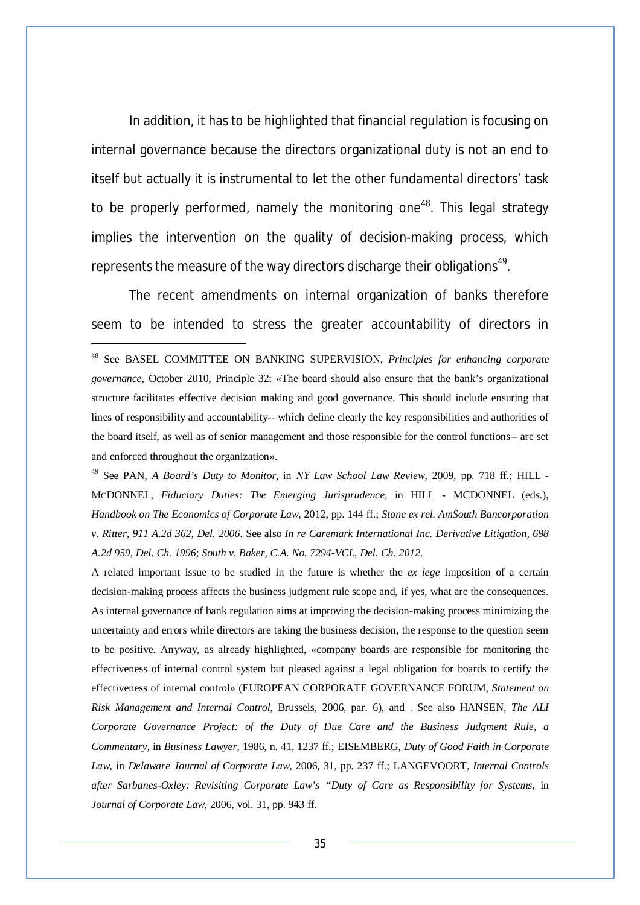In addition, it has to be highlighted that financial regulation is focusing on internal governance because the directors organizational duty is not an end to itself but actually it is instrumental to let the other fundamental directors' task to be properly performed, namely the monitoring one<sup>48</sup>. This legal strategy implies the intervention on the quality of decision-making process, which represents the measure of the way directors discharge their obligations $^{49}$ .

The recent amendments on internal organization of banks therefore seem to be intended to stress the greater accountability of directors in

 $\overline{a}$ 

<sup>48</sup> See BASEL COMMITTEE ON BANKING SUPERVISION, *Principles for enhancing corporate governance*, October 2010, Principle 32: «The board should also ensure that the bank's organizational structure facilitates effective decision making and good governance. This should include ensuring that lines of responsibility and accountability-- which define clearly the key responsibilities and authorities of the board itself, as well as of senior management and those responsible for the control functions-- are set and enforced throughout the organization».

<sup>49</sup> See PAN, *A Board's Duty to Monitor*, in *NY Law School Law Review*, 2009, pp. 718 ff.; HILL - MCDONNEL, *Fiduciary Duties: The Emerging Jurisprudence*, in HILL - MCDONNEL (eds.), *Handbook on The Economics of Corporate Law*, 2012, pp. 144 ff.; *Stone ex rel. AmSouth Bancorporation v. Ritter, 911 A.2d 362, Del. 2006*. See also *In re Caremark International Inc. Derivative Litigation, 698 A.2d 959, Del. Ch. 1996*; *South v*. *Baker, C.A. No. 7294-VCL, Del. Ch. 2012.*

A related important issue to be studied in the future is whether the *ex lege* imposition of a certain decision-making process affects the business judgment rule scope and, if yes, what are the consequences. As internal governance of bank regulation aims at improving the decision-making process minimizing the uncertainty and errors while directors are taking the business decision, the response to the question seem to be positive. Anyway, as already highlighted, «company boards are responsible for monitoring the effectiveness of internal control system but pleased against a legal obligation for boards to certify the effectiveness of internal control» (EUROPEAN CORPORATE GOVERNANCE FORUM, *Statement on Risk Management and Internal Control*, Brussels, 2006, par. 6), and . See also HANSEN, *The ALI Corporate Governance Project: of the Duty of Due Care and the Business Judgment Rule, a Commentary*, in *Business Lawyer*, 1986, n. 41, 1237 ff.; EISEMBERG, *Duty of Good Faith in Corporate Law*, in *Delaware Journal of Corporate Law*, 2006, 31, pp. 237 ff.; LANGEVOORT, *Internal Controls after Sarbanes-Oxley: Revisiting Corporate Law's "Duty of Care as Responsibility for Systems*, in *Journal of Corporate Law*, 2006, vol. 31, pp. 943 ff.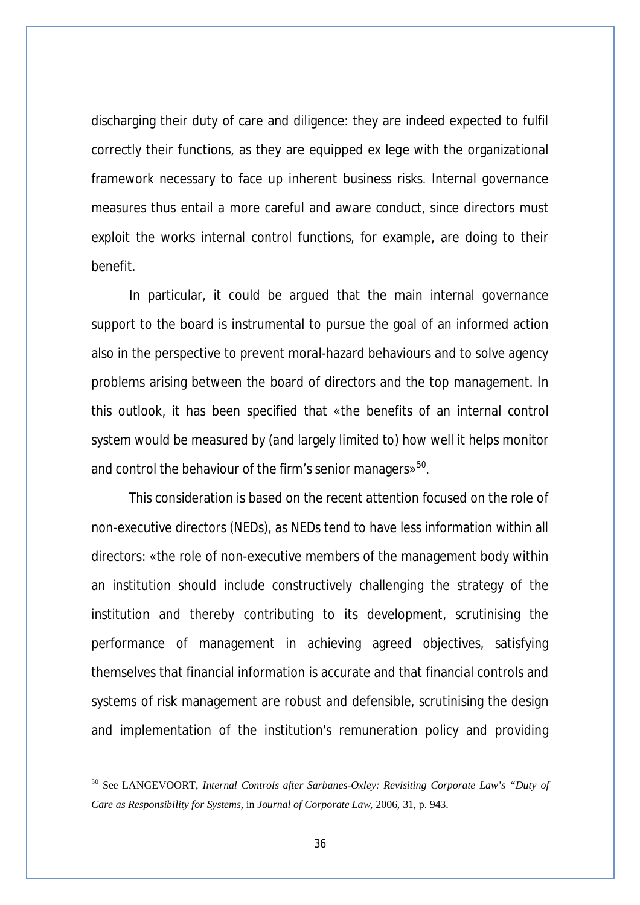discharging their duty of care and diligence: they are indeed expected to fulfil correctly their functions, as they are equipped *ex lege* with the organizational framework necessary to face up inherent business risks. Internal governance measures thus entail a more careful and aware conduct, since directors must exploit the works internal control functions, for example, are doing to their benefit.

In particular, it could be argued that the main internal governance support to the board is instrumental to pursue the goal of an informed action also in the perspective to prevent moral-hazard behaviours and to solve agency problems arising between the board of directors and the top management. In this outlook, it has been specified that «the benefits of an internal control system would be measured by (and largely limited to) how well it helps monitor and control the behaviour of the firm's senior managers» $^{\rm 50}$ .

This consideration is based on the recent attention focused on the role of non-executive directors (NEDs), as NEDs tend to have less information within all directors: «the role of non-executive members of the management body within an institution should include constructively challenging the strategy of the institution and thereby contributing to its development, scrutinising the performance of management in achieving agreed objectives, satisfying themselves that financial information is accurate and that financial controls and systems of risk management are robust and defensible, scrutinising the design and implementation of the institution's remuneration policy and providing

<sup>50</sup> See LANGEVOORT, *Internal Controls after Sarbanes-Oxley: Revisiting Corporate Law's "Duty of Care as Responsibility for Systems*, in *Journal of Corporate Law*, 2006, 31, p. 943.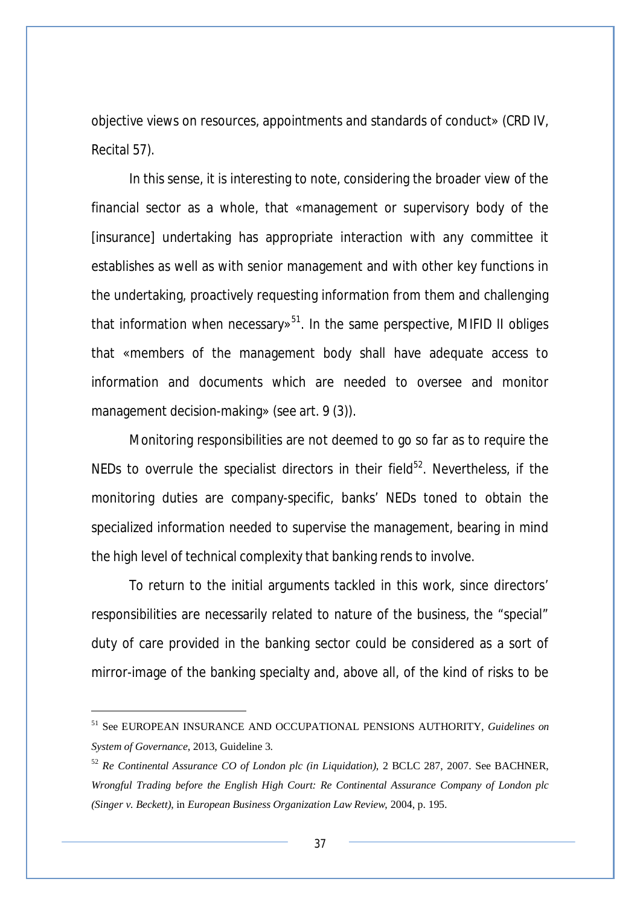objective views on resources, appointments and standards of conduct» (CRD IV, Recital 57).

In this sense, it is interesting to note, considering the broader view of the financial sector as a whole, that «management or supervisory body of the [insurance] undertaking has appropriate interaction with any committee it establishes as well as with senior management and with other key functions in the undertaking, proactively requesting information from them and challenging that information when necessary $\frac{51}{1}$ . In the same perspective, MIFID II obliges that «members of the management body shall have adequate access to information and documents which are needed to oversee and monitor management decision-making» (see art. 9 (3)).

Monitoring responsibilities are not deemed to go so far as to require the NEDs to overrule the specialist directors in their field<sup>52</sup>. Nevertheless, if the monitoring duties are company-specific, banks' NEDs toned to obtain the specialized information needed to supervise the management, bearing in mind the high level of technical complexity that banking rends to involve.

To return to the initial arguments tackled in this work, since directors' responsibilities are necessarily related to nature of the business, the "special" duty of care provided in the banking sector could be considered as a sort of mirror-image of the banking specialty and, above all, of the kind of risks to be

<sup>51</sup> See EUROPEAN INSURANCE AND OCCUPATIONAL PENSIONS AUTHORITY, *Guidelines on System of Governance*, 2013, Guideline 3.

<sup>52</sup> *Re Continental Assurance CO of London plc (in Liquidation)*, 2 BCLC 287, 2007. See BACHNER, *Wrongful Trading before the English High Court: Re Continental Assurance Company of London plc (Singer v. Beckett)*, in *European Business Organization Law Review*, 2004, p. 195.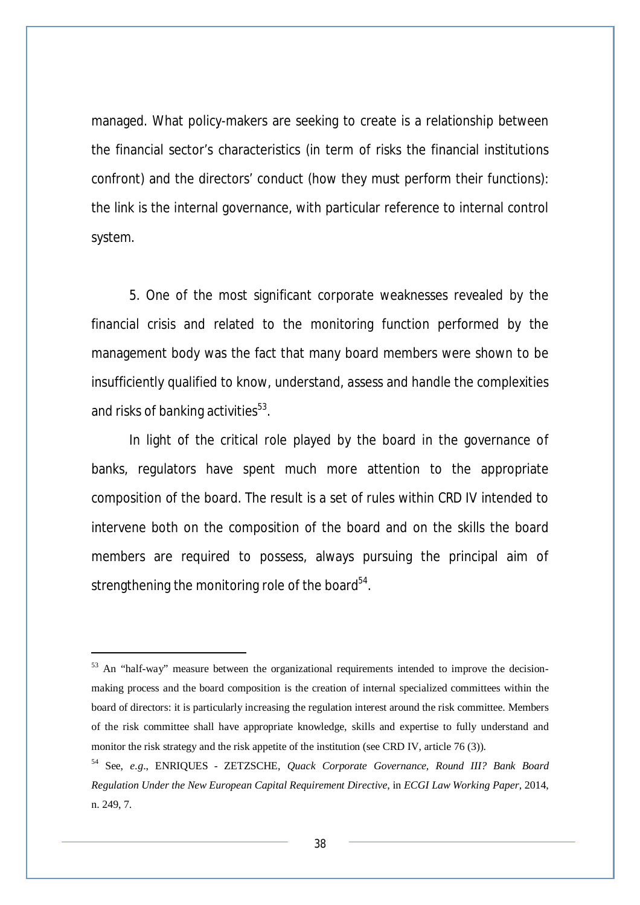managed. What policy-makers are seeking to create is a relationship between the financial sector's characteristics (in term of risks the financial institutions confront) and the directors' conduct (how they must perform their functions): the link is the internal governance, with particular reference to internal control system.

5. One of the most significant corporate weaknesses revealed by the financial crisis and related to the monitoring function performed by the management body was the fact that many board members were shown to be insufficiently qualified to know, understand, assess and handle the complexities and risks of banking activities $^{\rm 53}.$ 

In light of the critical role played by the board in the governance of banks, regulators have spent much more attention to the appropriate composition of the board. The result is a set of rules within CRD IV intended to intervene both on the composition of the board and on the skills the board members are required to possess, always pursuing the principal aim of strengthening the monitoring role of the board $^{54}.$ 

<sup>&</sup>lt;sup>53</sup> An "half-way" measure between the organizational requirements intended to improve the decisionmaking process and the board composition is the creation of internal specialized committees within the board of directors: it is particularly increasing the regulation interest around the risk committee. Members of the risk committee shall have appropriate knowledge, skills and expertise to fully understand and monitor the risk strategy and the risk appetite of the institution (see CRD IV, article 76 (3)).

<sup>54</sup> See, *e.g*., ENRIQUES - ZETZSCHE, *Quack Corporate Governance, Round III? Bank Board Regulation Under the New European Capital Requirement Directive*, in *ECGI Law Working Paper*, 2014, n. 249, 7.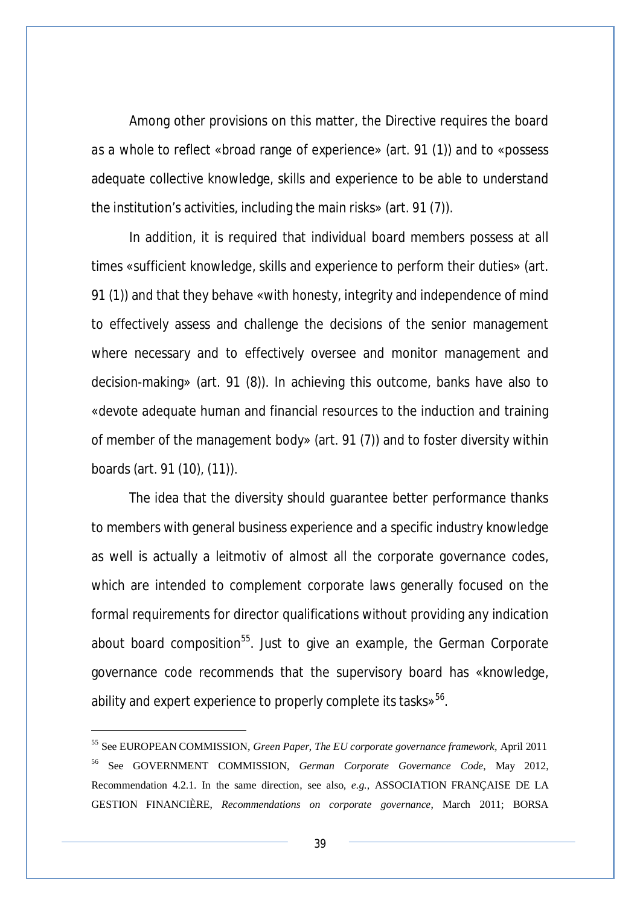Among other provisions on this matter, the Directive requires the board *as a whole* to reflect «broad range of experience» (art. 91 (1)) and to «possess adequate collective knowledge, skills and experience to be able to understand the institution's activities, including the main risks» (art. 91 (7)).

In addition, it is required that *individual* board members possess at all times «sufficient knowledge, skills and experience to perform their duties» (art. 91 (1)) and that they behave «with honesty, integrity and independence of mind to effectively assess and challenge the decisions of the senior management where necessary and to effectively oversee and monitor management and decision-making» (art. 91 (8)). In achieving this outcome, banks have also to «devote adequate human and financial resources to the induction and training of member of the management body» (art. 91 (7)) and to foster diversity within boards (art. 91 (10), (11)).

The idea that the diversity should guarantee better performance thanks to members with general business experience and a specific industry knowledge as well is actually a *leitmotiv* of almost all the corporate governance codes, which are intended to complement corporate laws generally focused on the formal requirements for director qualifications without providing any indication about board composition<sup>55</sup>. Just to give an example, the German Corporate governance code recommends that the supervisory board has «knowledge, ability and expert experience to properly complete its tasks» $^{\rm 56}.$ 

<sup>55</sup> See EUROPEAN COMMISSION, *Green Paper*, *The EU corporate governance framework*, April 2011 <sup>56</sup> See GOVERNMENT COMMISSION, *German Corporate Governance Code*, May 2012, Recommendation 4.2.1. In the same direction, see also, *e.g.*, ASSOCIATION FRANÇAISE DE LA GESTION FINANCIÈRE, *Recommendations on corporate governance*, March 2011; BORSA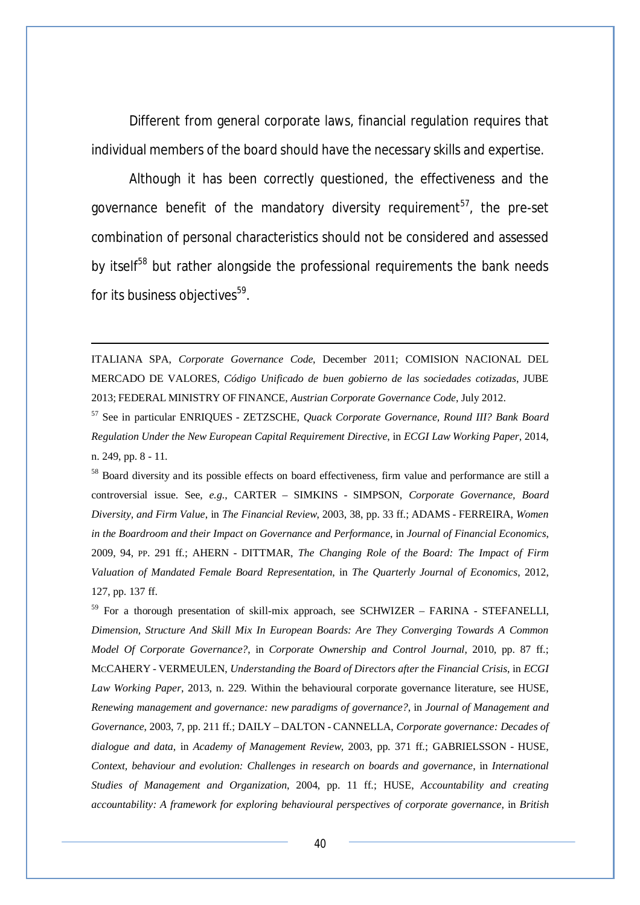Different from general corporate laws, financial regulation requires that individual members of the board should have the necessary skills and expertise.

Although it has been correctly questioned, the effectiveness and the governance benefit of the mandatory diversity requirement<sup>57</sup>, the pre-set combination of personal characteristics should not be considered and assessed by itself<sup>58</sup> but rather alongside the professional requirements the bank needs for its business objectives<sup>59</sup>.

ITALIANA SPA, *Corporate Governance Code*, December 2011; COMISION NACIONAL DEL MERCADO DE VALORES, *Código Unificado de buen gobierno de las sociedades cotizadas*, JUBE 2013; FEDERAL MINISTRY OF FINANCE, *Austrian Corporate Governance Code*, July 2012.

 $\overline{a}$ 

<sup>57</sup> See in particular ENRIQUES - ZETZSCHE, *Quack Corporate Governance, Round III? Bank Board Regulation Under the New European Capital Requirement Directive*, in *ECGI Law Working Paper*, 2014, n. 249, pp. 8 - 11.

<sup>58</sup> Board diversity and its possible effects on board effectiveness, firm value and performance are still a controversial issue. See, *e.g.*, CARTER – SIMKINS - SIMPSON, *Corporate Governance, Board Diversity, and Firm Value*, in *The Financial Review*, 2003, 38, pp. 33 ff.; ADAMS - FERREIRA, *Women in the Boardroom and their Impact on Governance and Performance*, in *Journal of Financial Economics*, 2009, 94, PP. 291 ff.; AHERN - DITTMAR, *The Changing Role of the Board: The Impact of Firm Valuation of Mandated Female Board Representation*, in *The Quarterly Journal of Economics*, 2012, 127, pp. 137 ff.

<sup>59</sup> For a thorough presentation of skill-mix approach, see SCHWIZER – FARINA - STEFANELLI, *Dimension, Structure And Skill Mix In European Boards: Are They Converging Towards A Common Model Of Corporate Governance?*, in *Corporate Ownership and Control Journal*, 2010, pp. 87 ff.; MCCAHERY - VERMEULEN, *Understanding the Board of Directors after the Financial Crisis*, in *ECGI Law Working Paper*, 2013, n. 229. Within the behavioural corporate governance literature, see HUSE, *Renewing management and governance: new paradigms of governance?*, in *Journal of Management and Governance*, 2003, 7, pp. 211 ff.; DAILY – DALTON - CANNELLA, *Corporate governance: Decades of dialogue and data*, in *Academy of Management Review*, 2003, pp. 371 ff.; GABRIELSSON - HUSE, *Context, behaviour and evolution: Challenges in research on boards and governance*, in *International Studies of Management and Organization*, 2004, pp. 11 ff.; HUSE, *Accountability and creating accountability: A framework for exploring behavioural perspectives of corporate governance*, in *British*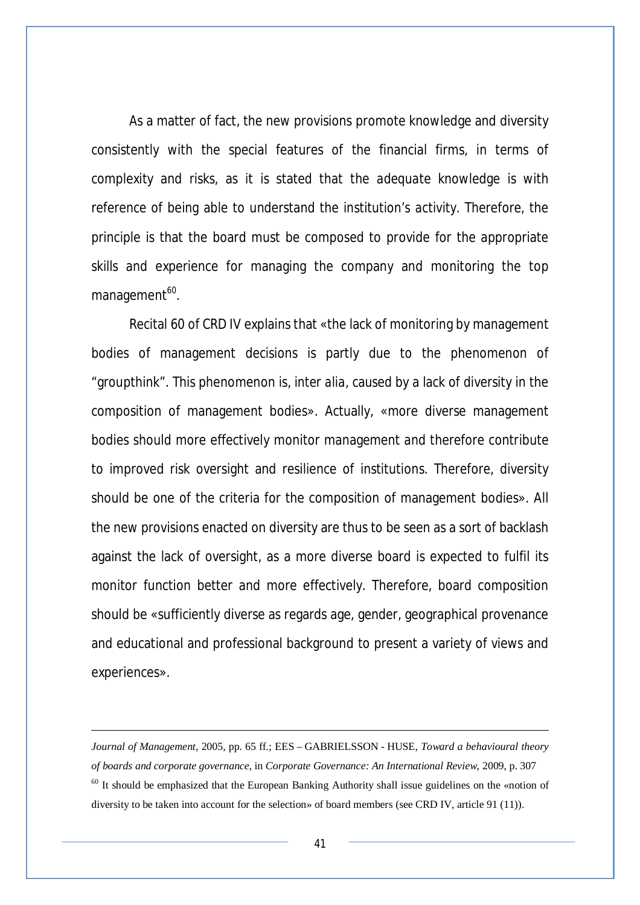As a matter of fact, the new provisions promote knowledge and diversity consistently with the special features of the financial firms, in terms of complexity and risks, as it is stated that the *adequate* knowledge is with reference of being able to understand the *institution's activity*. Therefore, the principle is that the board must be composed to provide for the appropriate skills and experience for managing the company and monitoring the top management<sup>60</sup>.

Recital 60 of CRD IV explains that «the lack of monitoring by management bodies of management decisions is partly due to the phenomenon of "groupthink". This phenomenon is, *inter alia*, caused by a lack of diversity in the composition of management bodies». Actually, «more diverse management bodies should more effectively monitor management and therefore contribute to improved risk oversight and resilience of institutions. Therefore, diversity should be one of the criteria for the composition of management bodies». All the new provisions enacted on diversity are thus to be seen as a sort of backlash against the lack of oversight, as a more diverse board is expected to fulfil its monitor function better and more effectively. Therefore, board composition should be «sufficiently diverse as regards age, gender, geographical provenance and educational and professional background to present a variety of views and experiences».

*Journal of Management*, 2005, pp. 65 ff.; EES – GABRIELSSON - HUSE, *Toward a behavioural theory of boards and corporate governance*, in *Corporate Governance: An International Review*, 2009, p. 307 <sup>60</sup> It should be emphasized that the European Banking Authority shall issue guidelines on the «notion of diversity to be taken into account for the selection» of board members (see CRD IV, article 91 (11)).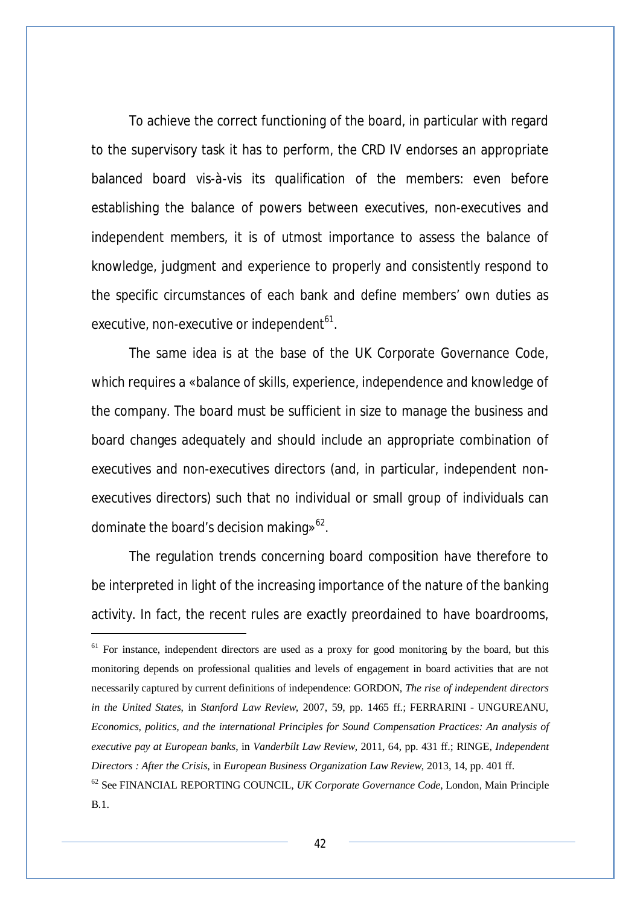To achieve the correct functioning of the board, in particular with regard to the supervisory task it has to perform, the CRD IV endorses an appropriate balanced board *vis-à-vis* its qualification of the members: even before establishing the balance of powers between executives, non-executives and independent members, it is of utmost importance to assess the balance of knowledge, judgment and experience to properly and consistently respond to the specific circumstances of each bank and define members' own duties as executive, non-executive or independent<sup>61</sup>.

The same idea is at the base of the UK Corporate Governance Code, which requires a «balance of skills, experience, independence and knowledge of the company. The board must be sufficient in size to manage the business and board changes adequately and should include an appropriate combination of executives and non-executives directors (and, in particular, independent nonexecutives directors) such that no individual or small group of individuals can dominate the board's decision making» $^{62}$ .

The regulation trends concerning board composition have therefore to be interpreted in light of the increasing importance of the nature of the banking activity. In fact, the recent rules are exactly preordained to have boardrooms,

<sup>&</sup>lt;sup>61</sup> For instance, independent directors are used as a proxy for good monitoring by the board, but this monitoring depends on professional qualities and levels of engagement in board activities that are not necessarily captured by current definitions of independence: GORDON, *The rise of independent directors in the United States*, in *Stanford Law Review*, 2007, 59, pp. 1465 ff.; FERRARINI - UNGUREANU, *Economics, politics, and the international Principles for Sound Compensation Practices: An analysis of executive pay at European banks*, in *Vanderbilt Law Review*, 2011, 64, pp. 431 ff.; RINGE, *Independent Directors : After the Crisis*, in *European Business Organization Law Review*, 2013, 14, pp. 401 ff. <sup>62</sup> See FINANCIAL REPORTING COUNCIL, *UK Corporate Governance Code*, London, Main Principle B.1.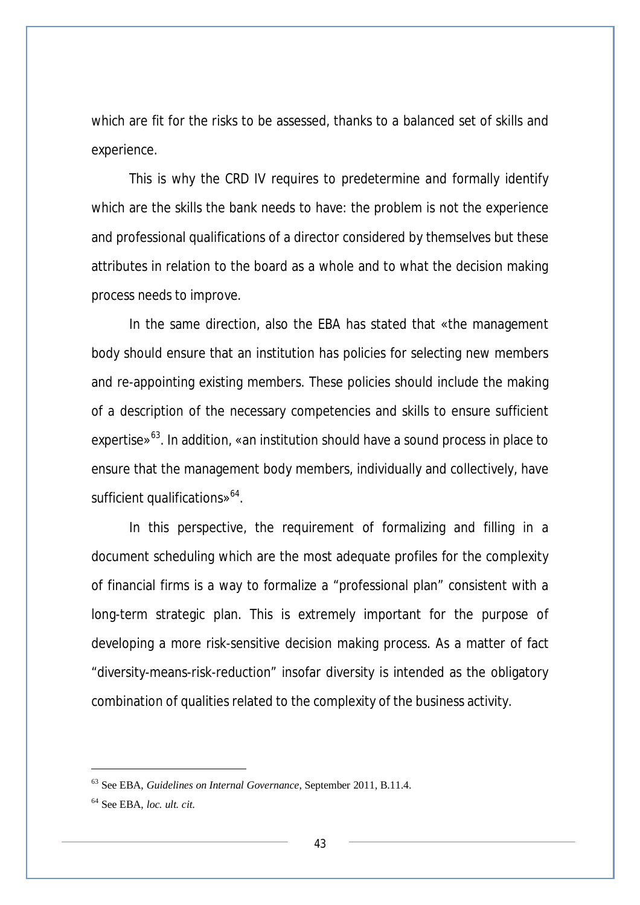which are fit for the risks to be assessed, thanks to a balanced set of skills and experience.

This is why the CRD IV requires to predetermine and formally identify which are the skills the bank needs to have: the problem is not the experience and professional qualifications of a director considered by themselves but these attributes in relation to the board as a whole and to what the decision making process needs to improve.

In the same direction, also the EBA has stated that «the management body should ensure that an institution has policies for selecting new members and re-appointing existing members. These policies should include the making of a description of the necessary competencies and skills to ensure sufficient expertise»<sup>63</sup>. In addition, «an institution should have a sound process in place to ensure that the management body members, individually and collectively, have sufficient qualifications»<sup>64</sup>.

In this perspective, the requirement of formalizing and filling in a document scheduling which are the most adequate profiles for the complexity of financial firms is a way to formalize a "professional plan" consistent with a long-term strategic plan. This is extremely important for the purpose of developing a more risk-sensitive decision making process. As a matter of fact "diversity-means-risk-reduction" insofar diversity is intended as the obligatory combination of qualities related to the complexity of the business activity.

<sup>63</sup> See EBA, *Guidelines on Internal Governance*, September 2011, B.11.4.

<sup>64</sup> See EBA, *loc. ult. cit.*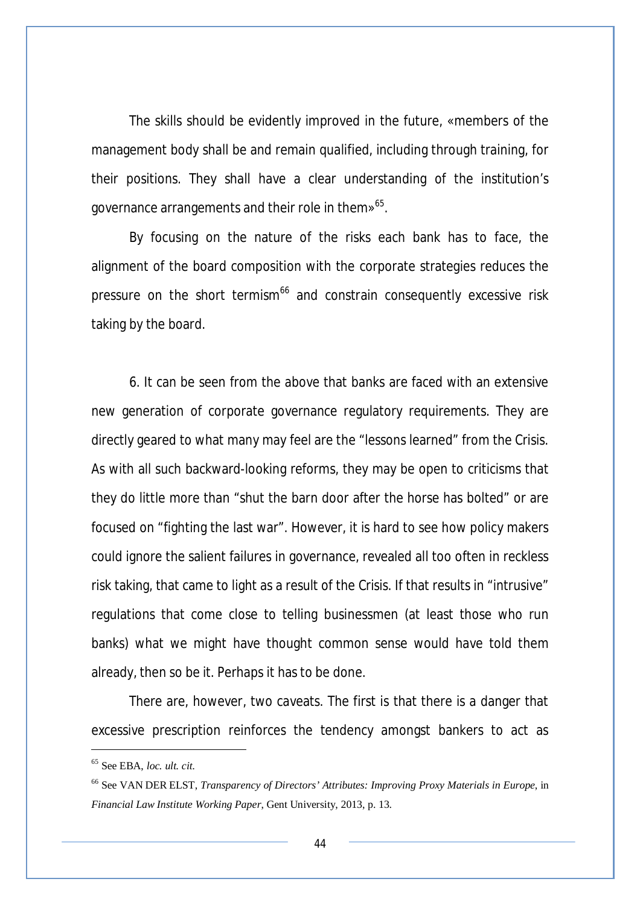The skills should be evidently improved in the future, «members of the management body shall be and remain qualified, including through training, for their positions. They shall have a clear understanding of the institution's governance arrangements and their role in them» $^{\rm 65}$ .

By focusing on the nature of the risks each bank has to face, the alignment of the board composition with the corporate strategies reduces the pressure on the short termism<sup>66</sup> and constrain consequently excessive risk taking by the board.

6. It can be seen from the above that banks are faced with an extensive new generation of corporate governance regulatory requirements. They are directly geared to what many may feel are the "lessons learned" from the Crisis. As with all such backward-looking reforms, they may be open to criticisms that they do little more than "shut the barn door after the horse has bolted" or are focused on "fighting the last war". However, it is hard to see how policy makers could ignore the salient failures in governance, revealed all too often in reckless risk taking, that came to light as a result of the Crisis. If that results in "intrusive" regulations that come close to telling businessmen (at least those who run banks) what we might have thought common sense would have told them already, then so be it. Perhaps it has to be done.

There are, however, two caveats. The first is that there is a danger that excessive prescription reinforces the tendency amongst bankers to act as

<sup>65</sup> See EBA, *loc. ult. cit.*

<sup>66</sup> See VAN DER ELST, *Transparency of Directors' Attributes: Improving Proxy Materials in Europe*, in *Financial Law Institute Working Paper*, Gent University, 2013, p. 13.